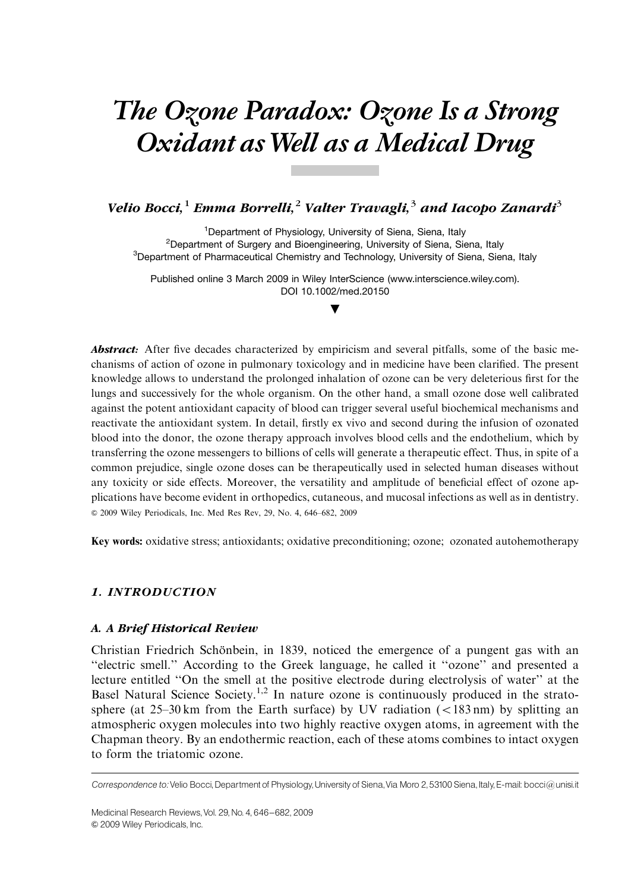# The Ozone Paradox: Ozone Is a Strong Oxidant as Well as a Medical Drug

Velio Bocci,<sup>1</sup> Emma Borrelli,<sup>2</sup> Valter Travagli,<sup>3</sup> and Iacopo Zanardi<sup>3</sup>

<sup>1</sup> Department of Physiology, University of Siena, Siena, Italy<br><sup>2</sup> Department of Surgeny and Bioengineering, University of Siena, Sie <sup>2</sup>Department of Surgery and Bioengineering, University of Siena, Siena, Italy <sup>3</sup>Department of Pharmaceutical Chemistry and Technology, University of Siena, Siena, Italy

Published online 3 March 2009 in Wiley InterScience (www.interscience.wiley.com). DOI 10.1002/med.20150  $\overline{\blacktriangledown}$ 

**Abstract:** After five decades characterized by empiricism and several pitfalls, some of the basic mechanisms of action of ozone in pulmonary toxicology and in medicine have been clarified. The present knowledge allows to understand the prolonged inhalation of ozone can be very deleterious first for the lungs and successively for the whole organism. On the other hand, a small ozone dose well calibrated against the potent antioxidant capacity of blood can trigger several useful biochemical mechanisms and reactivate the antioxidant system. In detail, firstly ex vivo and second during the infusion of ozonated blood into the donor, the ozone therapy approach involves blood cells and the endothelium, which by transferring the ozone messengers to billions of cells will generate a therapeutic effect. Thus, in spite of a common prejudice, single ozone doses can be therapeutically used in selected human diseases without any toxicity or side effects. Moreover, the versatility and amplitude of beneficial effect of ozone applications have become evident in orthopedics, cutaneous, and mucosal infections as well as in dentistry. & 2009 Wiley Periodicals, Inc. Med Res Rev, 29, No. 4, 646–682, 2009

Key words: oxidative stress; antioxidants; oxidative preconditioning; ozone; ozonated autohemotherapy

# 1. INTRODUCTION

## A. A Brief Historical Review

Christian Friedrich Schönbein, in 1839, noticed the emergence of a pungent gas with an ''electric smell.'' According to the Greek language, he called it ''ozone'' and presented a lecture entitled ''On the smell at the positive electrode during electrolysis of water'' at the Basel Natural Science Society.<sup>1,2</sup> In nature ozone is continuously produced in the stratosphere (at  $25-30 \text{ km}$  from the Earth surface) by UV radiation ( $\lt 183 \text{ nm}$ ) by splitting an atmospheric oxygen molecules into two highly reactive oxygen atoms, in agreement with the Chapman theory. By an endothermic reaction, each of these atoms combines to intact oxygen to form the triatomic ozone.

Correspondence to: Velio Bocci, Department of Physiology, University of Siena, Via Moro 2, 53100 Siena, Italy, E-mail: bocci@unisi.it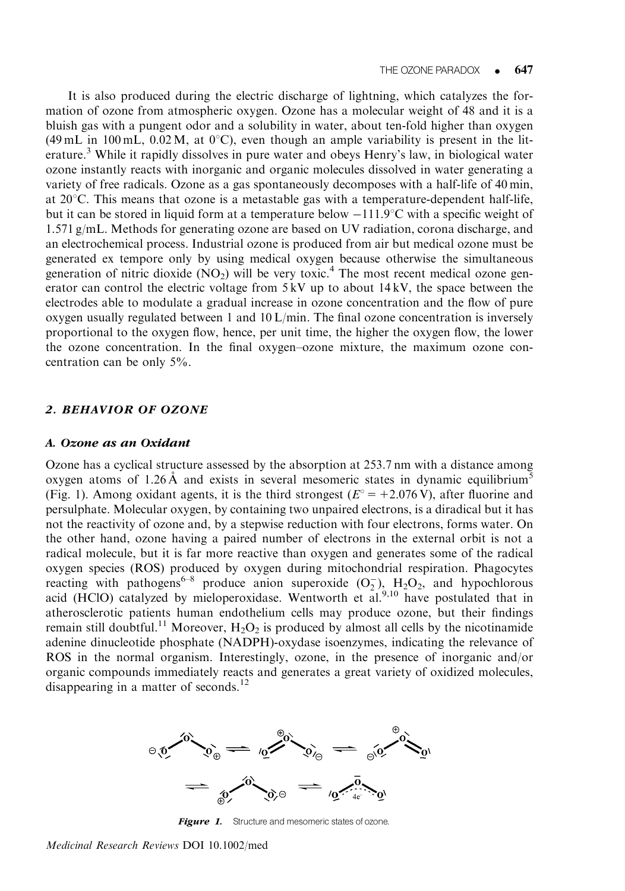It is also produced during the electric discharge of lightning, which catalyzes the formation of ozone from atmospheric oxygen. Ozone has a molecular weight of 48 and it is a bluish gas with a pungent odor and a solubility in water, about ten-fold higher than oxygen  $(49 \text{ mL} \cdot \text{mL} \cdot 0.02 \text{ M})$ , at  $0^{\circ}$ C), even though an ample variability is present in the literature.<sup>3</sup> While it rapidly dissolves in pure water and obeys Henry's law, in biological water ozone instantly reacts with inorganic and organic molecules dissolved in water generating a variety of free radicals. Ozone as a gas spontaneously decomposes with a half-life of 40 min, at  $20^{\circ}$ C. This means that ozone is a metastable gas with a temperature-dependent half-life, but it can be stored in liquid form at a temperature below  $-111.9^{\circ}$ C with a specific weight of 1.571 g/mL. Methods for generating ozone are based on UV radiation, corona discharge, and an electrochemical process. Industrial ozone is produced from air but medical ozone must be generated ex tempore only by using medical oxygen because otherwise the simultaneous generation of nitric dioxide  $(NO<sub>2</sub>)$  will be very toxic.<sup>4</sup> The most recent medical ozone generator can control the electric voltage from  $5 \text{ kV}$  up to about  $14 \text{ kV}$ , the space between the electrodes able to modulate a gradual increase in ozone concentration and the flow of pure oxygen usually regulated between 1 and  $10 L/min$ . The final ozone concentration is inversely proportional to the oxygen flow, hence, per unit time, the higher the oxygen flow, the lower the ozone concentration. In the final oxygen–ozone mixture, the maximum ozone concentration can be only 5%.

## 2. BEHAVIOR OF OZONE

#### A. Ozone as an Oxidant

Ozone has a cyclical structure assessed by the absorption at 253.7 nm with a distance among oxygen atoms of  $1.26 \text{ Å}$  and exists in several mesomeric states in dynamic equilibrium<sup>5</sup> (Fig. 1). Among oxidant agents, it is the third strongest ( $E^{\circ} = +2.076$  V), after fluorine and persulphate. Molecular oxygen, by containing two unpaired electrons, is a diradical but it has not the reactivity of ozone and, by a stepwise reduction with four electrons, forms water. On the other hand, ozone having a paired number of electrons in the external orbit is not a radical molecule, but it is far more reactive than oxygen and generates some of the radical oxygen species (ROS) produced by oxygen during mitochondrial respiration. Phagocytes reacting with pathogens<sup>6-8</sup> produce anion superoxide  $(O_2^-)$ ,  $H_2O_2$ , and hypochlorous acid (HClO) catalyzed by mieloperoxidase. Wentworth et al.<sup>9,10</sup> have postulated that in atherosclerotic patients human endothelium cells may produce ozone, but their findings remain still doubtful.<sup>11</sup> Moreover,  $H_2O_2$  is produced by almost all cells by the nicotinamide adenine dinucleotide phosphate (NADPH)-oxydase isoenzymes, indicating the relevance of ROS in the normal organism. Interestingly, ozone, in the presence of inorganic and/or organic compounds immediately reacts and generates a great variety of oxidized molecules, disappearing in a matter of seconds.<sup>12</sup>



Figure 1. Structure and mesomeric states of ozone.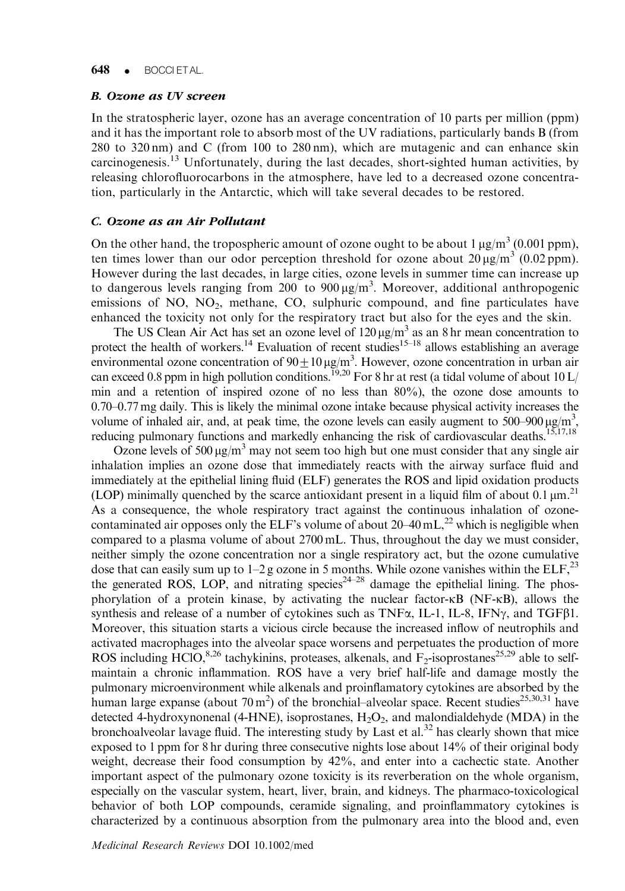#### 648 · BOCCI ET AL.

# B. Ozone as UV screen

In the stratospheric layer, ozone has an average concentration of 10 parts per million (ppm) and it has the important role to absorb most of the UV radiations, particularly bands B (from 280 to 320 nm) and C (from 100 to 280 nm), which are mutagenic and can enhance skin carcinogenesis.<sup>13</sup> Unfortunately, during the last decades, short-sighted human activities, by releasing chlorofluorocarbons in the atmosphere, have led to a decreased ozone concentration, particularly in the Antarctic, which will take several decades to be restored.

# C. Ozone as an Air Pollutant

On the other hand, the tropospheric amount of ozone ought to be about  $1 \mu g/m^3$  (0.001 ppm), ten times lower than our odor perception threshold for ozone about  $20 \mu\text{g/m}^3$  (0.02 ppm). However during the last decades, in large cities, ozone levels in summer time can increase up to dangerous levels ranging from 200 to  $900 \mu g/m^3$ . Moreover, additional anthropogenic emissions of  $NO$ ,  $NO<sub>2</sub>$ , methane,  $CO$ , sulphuric compound, and fine particulates have enhanced the toxicity not only for the respiratory tract but also for the eyes and the skin.

The US Clean Air Act has set an ozone level of  $120 \mu g/m^3$  as an 8 hr mean concentration to protect the health of workers.<sup>14</sup> Evaluation of recent studies<sup>15–18</sup> allows establishing an average environmental ozone concentration of  $90 \pm 10 \,\mu g/m^3$ . However, ozone concentration in urban air can exceed 0.8 ppm in high pollution conditions.<sup>19,20</sup> For 8 hr at rest (a tidal volume of about 10 L/ min and a retention of inspired ozone of no less than 80%), the ozone dose amounts to 0.70–0.77 mg daily. This is likely the minimal ozone intake because physical activity increases the volume of inhaled air, and, at peak time, the ozone levels can easily augment to 500–900  $\mu$ g/m<sup>3</sup>, reducing pulmonary functions and markedly enhancing the risk of cardiovascular deaths.<sup>15,17,18</sup>

Ozone levels of 500  $\mu$ g/m<sup>3</sup> may not seem too high but one must consider that any single air inhalation implies an ozone dose that immediately reacts with the airway surface fluid and immediately at the epithelial lining fluid (ELF) generates the ROS and lipid oxidation products (LOP) minimally quenched by the scarce antioxidant present in a liquid film of about  $0.1 \mu m$ .<sup>21</sup> As a consequence, the whole respiratory tract against the continuous inhalation of ozonecontaminated air opposes only the ELF's volume of about  $20-40 \text{ mL}^{22}$  which is negligible when compared to a plasma volume of about 2700 mL. Thus, throughout the day we must consider, neither simply the ozone concentration nor a single respiratory act, but the ozone cumulative dose that can easily sum up to  $1-2$  g ozone in 5 months. While ozone vanishes within the ELF,<sup>23</sup> the generated ROS, LOP, and nitrating species<sup>24–28</sup> damage the epithelial lining. The phosphorylation of a protein kinase, by activating the nuclear factor- $\kappa$ B (NF- $\kappa$ B), allows the synthesis and release of a number of cytokines such as  $TNF\alpha$ , IL-1, IL-8, IFN $\gamma$ , and TGF $\beta$ 1. Moreover, this situation starts a vicious circle because the increased inflow of neutrophils and activated macrophages into the alveolar space worsens and perpetuates the production of more ROS including HClO,  $8,26$  tachykinins, proteases, alkenals, and  $F_2$ -isoprostanes<sup>25,29</sup> able to selfmaintain a chronic inflammation. ROS have a very brief half-life and damage mostly the pulmonary microenvironment while alkenals and proinflamatory cytokines are absorbed by the human large expanse (about  $70 \text{ m}^2$ ) of the bronchial–alveolar space. Recent studies<sup>25,30,31</sup> have detected 4-hydroxynonenal (4-HNE), isoprostanes,  $H_2O_2$ , and malondialdehyde (MDA) in the bronchoalveolar lavage fluid. The interesting study by Last et al.<sup>32</sup> has clearly shown that mice exposed to 1 ppm for 8 hr during three consecutive nights lose about 14% of their original body weight, decrease their food consumption by 42%, and enter into a cachectic state. Another important aspect of the pulmonary ozone toxicity is its reverberation on the whole organism, especially on the vascular system, heart, liver, brain, and kidneys. The pharmaco-toxicological behavior of both LOP compounds, ceramide signaling, and proinflammatory cytokines is characterized by a continuous absorption from the pulmonary area into the blood and, even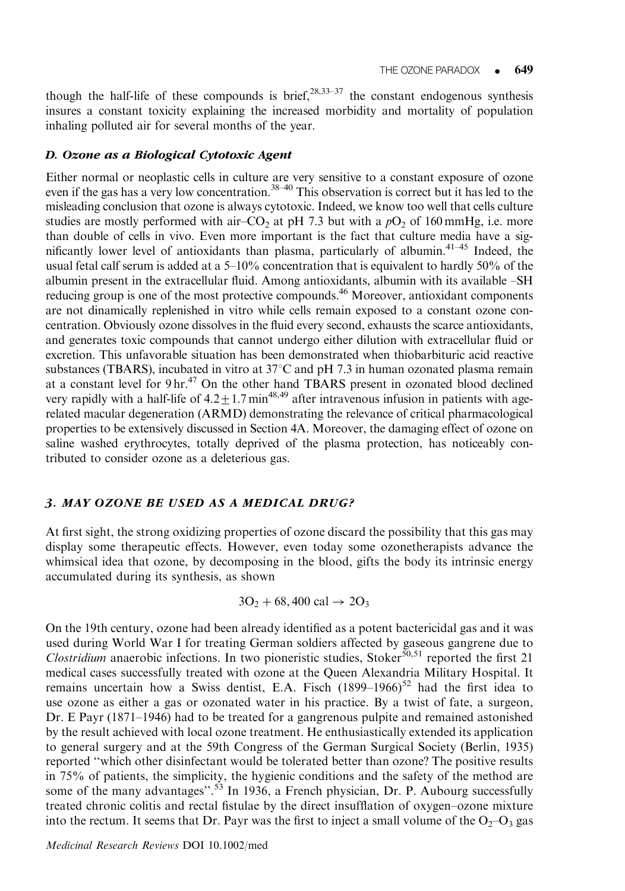though the half-life of these compounds is brief, $28,33-37$  the constant endogenous synthesis insures a constant toxicity explaining the increased morbidity and mortality of population inhaling polluted air for several months of the year.

## D. Ozone as a Biological Cytotoxic Agent

Either normal or neoplastic cells in culture are very sensitive to a constant exposure of ozone even if the gas has a very low concentration.38–40 This observation is correct but it has led to the misleading conclusion that ozone is always cytotoxic. Indeed, we know too well that cells culture studies are mostly performed with air–CO<sub>2</sub> at pH 7.3 but with a  $pO<sub>2</sub>$  of 160 mmHg, i.e. more than double of cells in vivo. Even more important is the fact that culture media have a significantly lower level of antioxidants than plasma, particularly of albumin.<sup>41-45</sup> Indeed, the usual fetal calf serum is added at a 5–10% concentration that is equivalent to hardly 50% of the albumin present in the extracellular fluid. Among antioxidants, albumin with its available –SH reducing group is one of the most protective compounds.<sup>46</sup> Moreover, antioxidant components are not dinamically replenished in vitro while cells remain exposed to a constant ozone concentration. Obviously ozone dissolves in the fluid every second, exhausts the scarce antioxidants, and generates toxic compounds that cannot undergo either dilution with extracellular fluid or excretion. This unfavorable situation has been demonstrated when thiobarbituric acid reactive substances (TBARS), incubated in vitro at  $37^{\circ}$ C and pH 7.3 in human ozonated plasma remain at a constant level for  $9 \text{ hr}^{47}$  On the other hand TBARS present in ozonated blood declined very rapidly with a half-life of  $4.2 \pm 1.7$  min<sup>48,49</sup> after intravenous infusion in patients with agerelated macular degeneration (ARMD) demonstrating the relevance of critical pharmacological properties to be extensively discussed in Section 4A. Moreover, the damaging effect of ozone on saline washed erythrocytes, totally deprived of the plasma protection, has noticeably contributed to consider ozone as a deleterious gas.

## 3. MAY OZONE BE USED AS A MEDICAL DRUG?

At first sight, the strong oxidizing properties of ozone discard the possibility that this gas may display some therapeutic effects. However, even today some ozonetherapists advance the whimsical idea that ozone, by decomposing in the blood, gifts the body its intrinsic energy accumulated during its synthesis, as shown

$$
3O_2 + 68,400 \text{ cal} \rightarrow 2O_3
$$

On the 19th century, ozone had been already identified as a potent bactericidal gas and it was used during World War I for treating German soldiers affected by gaseous gangrene due to  $\frac{1}{2}$ Clostridium anaerobic infections. In two pioneristic studies, Stoker<sup>50,51</sup> reported the first 21 medical cases successfully treated with ozone at the Queen Alexandria Military Hospital. It remains uncertain how a Swiss dentist, E.A. Fisch  $(1899-1966)^{52}$  had the first idea to use ozone as either a gas or ozonated water in his practice. By a twist of fate, a surgeon, Dr. E Payr (1871–1946) had to be treated for a gangrenous pulpite and remained astonished by the result achieved with local ozone treatment. He enthusiastically extended its application to general surgery and at the 59th Congress of the German Surgical Society (Berlin, 1935) reported ''which other disinfectant would be tolerated better than ozone? The positive results in 75% of patients, the simplicity, the hygienic conditions and the safety of the method are some of the many advantages".<sup>53</sup> In 1936, a French physician, Dr. P. Aubourg successfully treated chronic colitis and rectal fistulae by the direct insufflation of oxygen–ozone mixture into the rectum. It seems that Dr. Payr was the first to inject a small volume of the  $O_2-O_3$  gas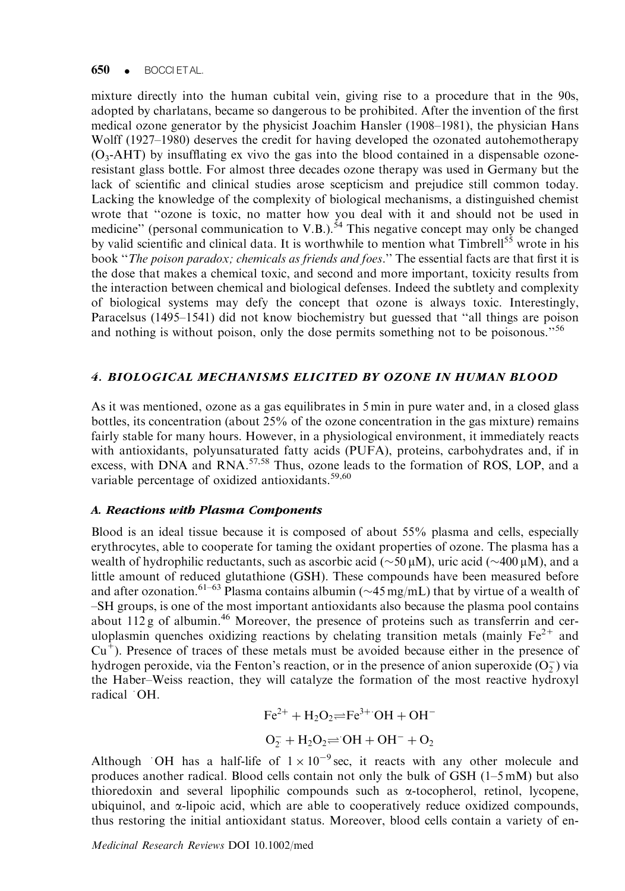## 650 · BOCCI ET AL.

mixture directly into the human cubital vein, giving rise to a procedure that in the 90s, adopted by charlatans, became so dangerous to be prohibited. After the invention of the first medical ozone generator by the physicist Joachim Hansler (1908–1981), the physician Hans Wolff (1927–1980) deserves the credit for having developed the ozonated autohemotherapy  $(O_3$ -AHT) by insufflating ex vivo the gas into the blood contained in a dispensable ozoneresistant glass bottle. For almost three decades ozone therapy was used in Germany but the lack of scientific and clinical studies arose scepticism and prejudice still common today. Lacking the knowledge of the complexity of biological mechanisms, a distinguished chemist wrote that ''ozone is toxic, no matter how you deal with it and should not be used in medicine" (personal communication to V.B.).<sup>54</sup> This negative concept may only be changed by valid scientific and clinical data. It is worthwhile to mention what Timbrell<sup>55</sup> wrote in his book "The poison paradox; chemicals as friends and foes." The essential facts are that first it is the dose that makes a chemical toxic, and second and more important, toxicity results from the interaction between chemical and biological defenses. Indeed the subtlety and complexity of biological systems may defy the concept that ozone is always toxic. Interestingly, Paracelsus (1495–1541) did not know biochemistry but guessed that ''all things are poison and nothing is without poison, only the dose permits something not to be poisonous."<sup>56</sup>

# 4. BIOLOGICAL MECHANISMS ELICITED BY OZONE IN HUMAN BLOOD

As it was mentioned, ozone as a gas equilibrates in 5 min in pure water and, in a closed glass bottles, its concentration (about 25% of the ozone concentration in the gas mixture) remains fairly stable for many hours. However, in a physiological environment, it immediately reacts with antioxidants, polyunsaturated fatty acids (PUFA), proteins, carbohydrates and, if in excess, with DNA and RNA.<sup>57,58</sup> Thus, ozone leads to the formation of ROS, LOP, and a variable percentage of oxidized antioxidants.<sup>59,60</sup>

# A. Reactions with Plasma Components

Blood is an ideal tissue because it is composed of about 55% plasma and cells, especially erythrocytes, able to cooperate for taming the oxidant properties of ozone. The plasma has a wealth of hydrophilic reductants, such as ascorbic acid ( $\sim$ 50  $\mu$ M), uric acid ( $\sim$ 400  $\mu$ M), and a little amount of reduced glutathione (GSH). These compounds have been measured before and after ozonation.<sup>61–63</sup> Plasma contains albumin ( $\sim$ 45 mg/mL) that by virtue of a wealth of –SH groups, is one of the most important antioxidants also because the plasma pool contains about  $112 g$  of albumin.<sup>46</sup> Moreover, the presence of proteins such as transferrin and ceruloplasmin quenches oxidizing reactions by chelating transition metals (mainly  $Fe^{2+}$  and  $Cu<sup>+</sup>$ ). Presence of traces of these metals must be avoided because either in the presence of hydrogen peroxide, via the Fenton's reaction, or in the presence of anion superoxide  $(O_2^-)$  via the Haber–Weiss reaction, they will catalyze the formation of the most reactive hydroxyl radical OH.

$$
\text{Fe}^{2+} + \text{H}_2\text{O}_2 \rightleftharpoons \text{Fe}^{3+} \cdot \text{OH} + \text{OH}^{-}
$$

$$
O_2^-+H_2O_2\hspace{-0.7mm} \rightleftarrows \hspace{-0.3mm} OH + OH^- + O_2
$$

Although OH has a half-life of  $1 \times 10^{-9}$  sec, it reacts with any other molecule and produces another radical. Blood cells contain not only the bulk of GSH (1–5 mM) but also thioredoxin and several lipophilic compounds such as a-tocopherol, retinol, lycopene, ubiquinol, and a-lipoic acid, which are able to cooperatively reduce oxidized compounds, thus restoring the initial antioxidant status. Moreover, blood cells contain a variety of en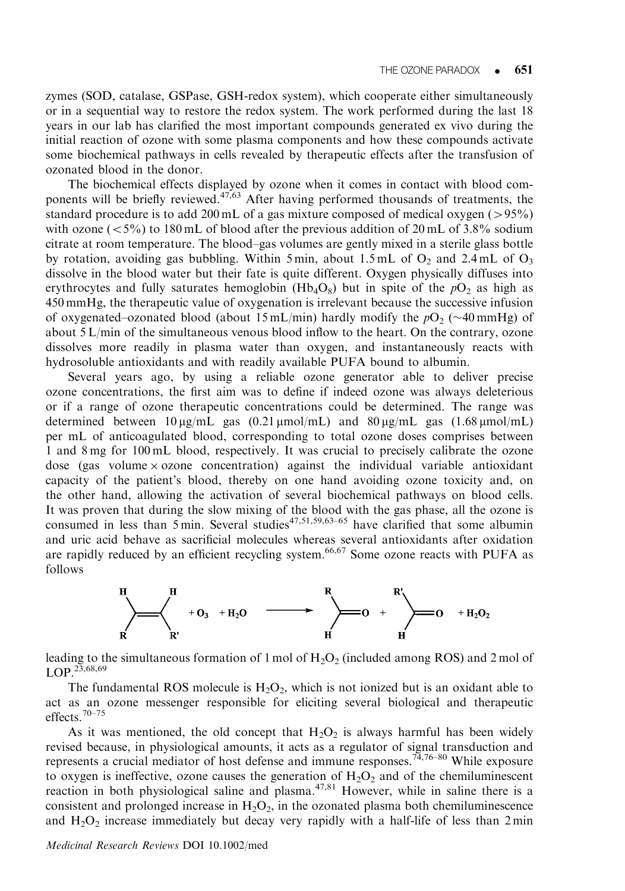zymes (SOD, catalase, GSPase, GSH-redox system), which cooperate either simultaneously or in a sequential way to restore the redox system. The work performed during the last 18 years in our lab has clarified the most important compounds generated ex vivo during the initial reaction of ozone with some plasma components and how these compounds activate some biochemical pathways in cells revealed by therapeutic effects after the transfusion of ozonated blood in the donor.

The biochemical effects displayed by ozone when it comes in contact with blood components will be briefly reviewed.<sup>47,63</sup> After having performed thousands of treatments, the standard procedure is to add 200 mL of a gas mixture composed of medical oxygen ( $>95\%$ ) with ozone ( $\lt 5\%$ ) to 180 mL of blood after the previous addition of 20 mL of 3.8% sodium citrate at room temperature. The blood–gas volumes are gently mixed in a sterile glass bottle by rotation, avoiding gas bubbling. Within 5 min, about 1.5 mL of  $O_2$  and 2.4 mL of  $O_3$ dissolve in the blood water but their fate is quite different. Oxygen physically diffuses into erythrocytes and fully saturates hemoglobin  $(Hb_4O_8)$  but in spite of the  $pO_2$  as high as 450 mmHg, the therapeutic value of oxygenation is irrelevant because the successive infusion of oxygenated–ozonated blood (about 15 mL/min) hardly modify the  $pO_2$  ( $\sim$ 40 mmHg) of about  $5 \text{ L/min}$  of the simultaneous venous blood inflow to the heart. On the contrary, ozone dissolves more readily in plasma water than oxygen, and instantaneously reacts with hydrosoluble antioxidants and with readily available PUFA bound to albumin.

Several years ago, by using a reliable ozone generator able to deliver precise ozone concentrations, the first aim was to define if indeed ozone was always deleterious or if a range of ozone therapeutic concentrations could be determined. The range was determined between  $10 \mu\text{g/mL}$  gas  $(0.21 \mu\text{mol/mL})$  and  $80 \mu\text{g/mL}$  gas  $(1.68 \mu\text{mol/mL})$ per mL of anticoagulated blood, corresponding to total ozone doses comprises between 1 and 8 mg for 100 mL blood, respectively. It was crucial to precisely calibrate the ozone dose (gas volume  $\times$  ozone concentration) against the individual variable antioxidant capacity of the patient's blood, thereby on one hand avoiding ozone toxicity and, on the other hand, allowing the activation of several biochemical pathways on blood cells. It was proven that during the slow mixing of the blood with the gas phase, all the ozone is consumed in less than 5 min. Several studies<sup>47,51,59,63–65</sup> have clarified that some albumin and uric acid behave as sacrificial molecules whereas several antioxidants after oxidation are rapidly reduced by an efficient recycling system.<sup>66,67</sup> Some ozone reacts with PUFA as follows



leading to the simultaneous formation of 1 mol of  $H_2O_2$  (included among ROS) and 2 mol of  $LOP$ <sup>23,68,69</sup>

The fundamental ROS molecule is  $H_2O_2$ , which is not ionized but is an oxidant able to act as an ozone messenger responsible for eliciting several biological and therapeutic effects.70–75

As it was mentioned, the old concept that  $H_2O_2$  is always harmful has been widely revised because, in physiological amounts, it acts as a regulator of signal transduction and represents a crucial mediator of host defense and immune responses.74,76–80 While exposure to oxygen is ineffective, ozone causes the generation of  $H_2O_2$  and of the chemiluminescent reaction in both physiological saline and plasma.<sup>47,81</sup> However, while in saline there is a consistent and prolonged increase in  $H_2O_2$ , in the ozonated plasma both chemiluminescence and  $H_2O_2$  increase immediately but decay very rapidly with a half-life of less than 2 min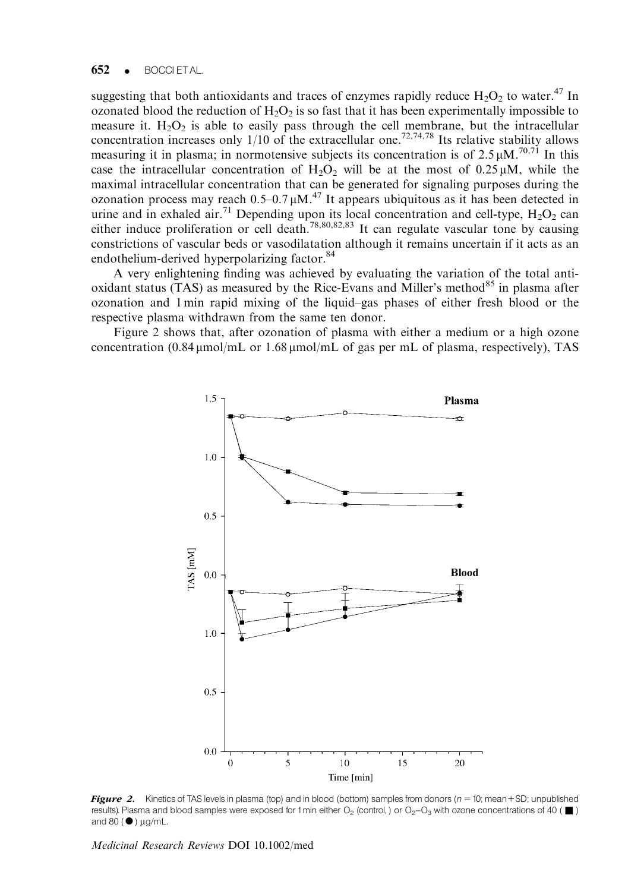#### 652 · BOCCLETAL.

suggesting that both antioxidants and traces of enzymes rapidly reduce  $H_2O_2$  to water.<sup>47</sup> In ozonated blood the reduction of  $H_2O_2$  is so fast that it has been experimentally impossible to measure it.  $H_2O_2$  is able to easily pass through the cell membrane, but the intracellular concentration increases only  $1/10$  of the extracellular one.<sup>72,74,78</sup> Its relative stability allows measuring it in plasma; in normotensive subjects its concentration is of  $2.5 \mu M$ .<sup>70,71</sup> In this case the intracellular concentration of  $H_2O_2$  will be at the most of 0.25  $\mu$ M, while the maximal intracellular concentration that can be generated for signaling purposes during the ozonation process may reach  $0.5-0.7 \mu M$ .<sup>47</sup> It appears ubiquitous as it has been detected in urine and in exhaled air.<sup>71</sup> Depending upon its local concentration and cell-type,  $H_2O_2$  can either induce proliferation or cell death.<sup>78,80,82,83</sup> It can regulate vascular tone by causing constrictions of vascular beds or vasodilatation although it remains uncertain if it acts as an endothelium-derived hyperpolarizing factor.<sup>84</sup>

A very enlightening finding was achieved by evaluating the variation of the total antioxidant status (TAS) as measured by the Rice-Evans and Miller's method $85$  in plasma after ozonation and 1 min rapid mixing of the liquid–gas phases of either fresh blood or the respective plasma withdrawn from the same ten donor.

Figure 2 shows that, after ozonation of plasma with either a medium or a high ozone concentration  $(0.84 \,\mu\text{mol/mL or } 1.68 \,\mu\text{mol/mL of gas per mL of plasma, respectively})$ , TAS



Figure 2. Kinetics of TAS levels in plasma (top) and in blood (bottom) samples from donors ( $n = 10$ ; mean + SD; unpublished results). Plasma and blood samples were exposed for 1 min either  $O_2$  (control, ) or  $O_2-O_3$  with ozone concentrations of 40 ( $\blacksquare$ ) and  $80$  ( $\bullet$ )  $\mu$ g/mL.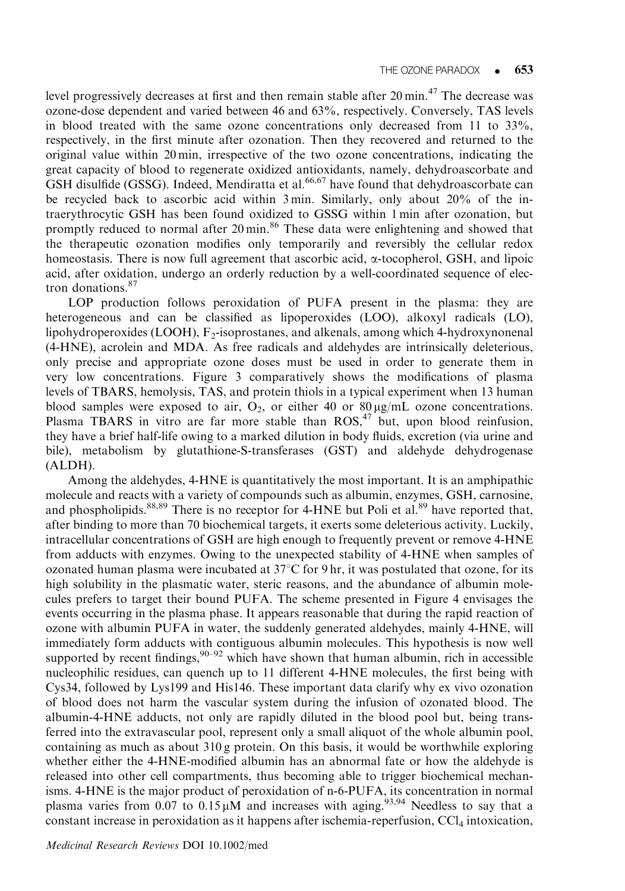level progressively decreases at first and then remain stable after 20 min. $47$  The decrease was ozone-dose dependent and varied between 46 and 63%, respectively. Conversely, TAS levels in blood treated with the same ozone concentrations only decreased from 11 to  $33\%$ , respectively, in the first minute after ozonation. Then they recovered and returned to the original value within 20 min, irrespective of the two ozone concentrations, indicating the great capacity of blood to regenerate oxidized antioxidants, namely, dehydroascorbate and  $\overline{GSH}$  disulfide (GSSG). Indeed, Mendiratta et al.<sup>66,67</sup> have found that dehydroascorbate can be recycled back to ascorbic acid within 3 min. Similarly, only about 20% of the intraerythrocytic GSH has been found oxidized to GSSG within 1 min after ozonation, but promptly reduced to normal after 20 min.<sup>86</sup> These data were enlightening and showed that the therapeutic ozonation modifies only temporarily and reversibly the cellular redox homeostasis. There is now full agreement that ascorbic acid,  $\alpha$ -tocopherol, GSH, and lipoic acid, after oxidation, undergo an orderly reduction by a well-coordinated sequence of electron donations.<sup>87</sup>

LOP production follows peroxidation of PUFA present in the plasma: they are heterogeneous and can be classified as lipoperoxides (LOO), alkoxyl radicals (LO), lipohydroperoxides (LOOH),  $F_2$ -isoprostanes, and alkenals, among which 4-hydroxynonenal (4-HNE), acrolein and MDA. As free radicals and aldehydes are intrinsically deleterious, only precise and appropriate ozone doses must be used in order to generate them in very low concentrations. Figure 3 comparatively shows the modifications of plasma levels of TBARS, hemolysis, TAS, and protein thiols in a typical experiment when 13 human blood samples were exposed to air,  $O_2$ , or either 40 or 80  $\mu$ g/mL ozone concentrations. Plasma TBARS in vitro are far more stable than  $ROS<sub>1</sub><sup>47</sup>$  but, upon blood reinfusion, they have a brief half-life owing to a marked dilution in body fluids, excretion (via urine and bile), metabolism by glutathione-S-transferases (GST) and aldehyde dehydrogenase (ALDH).

Among the aldehydes, 4-HNE is quantitatively the most important. It is an amphipathic molecule and reacts with a variety of compounds such as albumin, enzymes, GSH, carnosine, and phospholipids.<sup>88,89</sup> There is no receptor for 4-HNE but Poli et al.<sup>89</sup> have reported that, after binding to more than 70 biochemical targets, it exerts some deleterious activity. Luckily, intracellular concentrations of GSH are high enough to frequently prevent or remove 4-HNE from adducts with enzymes. Owing to the unexpected stability of 4-HNE when samples of ozonated human plasma were incubated at  $37^{\circ}$ C for 9 hr, it was postulated that ozone, for its high solubility in the plasmatic water, steric reasons, and the abundance of albumin molecules prefers to target their bound PUFA. The scheme presented in Figure 4 envisages the events occurring in the plasma phase. It appears reasonable that during the rapid reaction of ozone with albumin PUFA in water, the suddenly generated aldehydes, mainly 4-HNE, will immediately form adducts with contiguous albumin molecules. This hypothesis is now well supported by recent findings,  $90-92$  which have shown that human albumin, rich in accessible nucleophilic residues, can quench up to 11 different 4-HNE molecules, the first being with Cys34, followed by Lys199 and His146. These important data clarify why ex vivo ozonation of blood does not harm the vascular system during the infusion of ozonated blood. The albumin-4-HNE adducts, not only are rapidly diluted in the blood pool but, being transferred into the extravascular pool, represent only a small aliquot of the whole albumin pool, containing as much as about 310 g protein. On this basis, it would be worthwhile exploring whether either the 4-HNE-modified albumin has an abnormal fate or how the aldehyde is released into other cell compartments, thus becoming able to trigger biochemical mechanisms. 4-HNE is the major product of peroxidation of n-6-PUFA, its concentration in normal plasma varies from 0.07 to  $0.15 \mu M$  and increases with aging.<sup>93,94</sup> Needless to say that a constant increase in peroxidation as it happens after ischemia-reperfusion,  $\text{CCI}_4$  intoxication,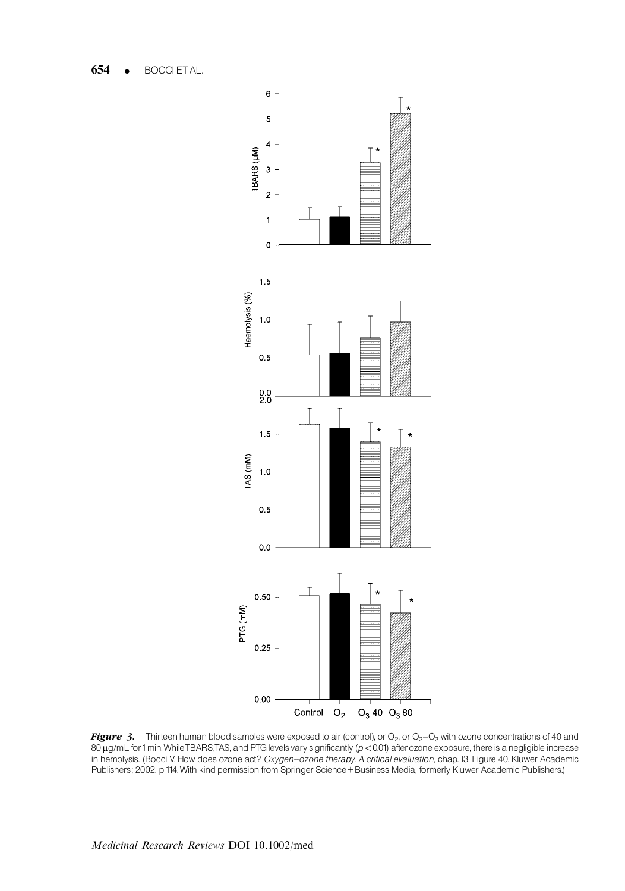

Figure 3. Thirteen human blood samples were exposed to air (control), or  $O_2$ , or  $O_2-O_3$  with ozone concentrations of 40 and  $80 \mu$ g/mL for 1 min. While TBARS, TAS, and PTG levels vary significantly ( $\rho$  < 0.01) after ozone exposure, there is a negligible increase in hemolysis. (Bocci V. How does ozone act? Oxygen-ozone therapy. A critical evaluation, chap.13. Figure 40. Kluwer Academic Publishers; 2002. p 114. With kind permission from Springer Science + Business Media, formerly Kluwer Academic Publishers.)

654 **BOCCI ET AL.**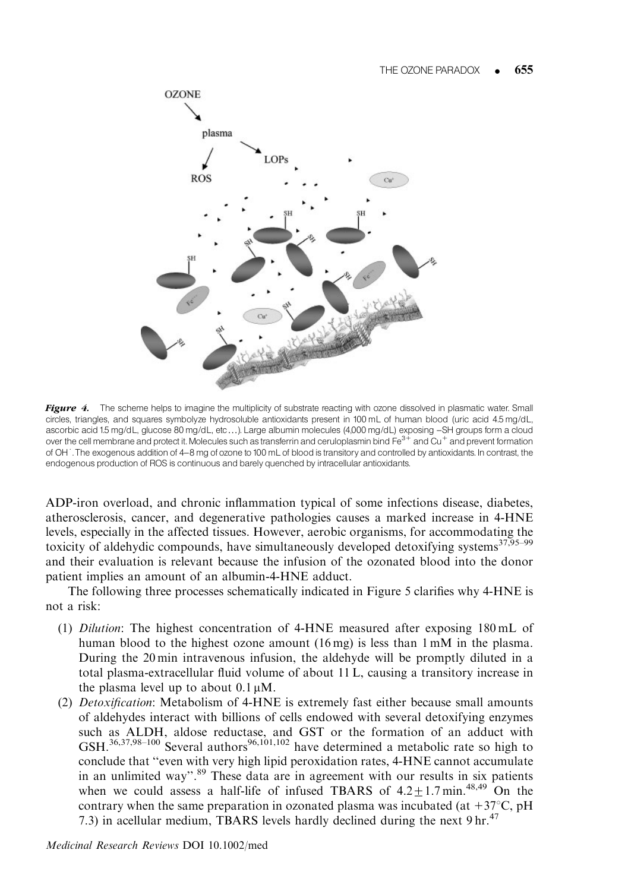

Figure 4. The scheme helps to imagine the multiplicity of substrate reacting with ozone dissolved in plasmatic water. Small circles, triangles, and squares symbolyze hydrosoluble antioxidants present in 100 mL of human blood (uric acid 4.5 mg/dL, ascorbic acid 1.5 mg/dL, glucose 80 mg/dL, etc...). Large albumin molecules (4,000 mg/dL) exposing -SH groups form a cloud over the cell membrane and protect it. Molecules such as transferrin and ceruloplasmin bind  $Fe<sup>3+</sup>$  and  $Cu<sup>+</sup>$  and prevent formation of OH<sup>'</sup>. The exogenous addition of 4–8 mg of ozone to 100 mL of blood is transitory and controlled by antioxidants. In contrast, the endogenous production of ROS is continuous and barely quenched by intracellular antioxidants.

ADP-iron overload, and chronic inflammation typical of some infections disease, diabetes, atherosclerosis, cancer, and degenerative pathologies causes a marked increase in 4-HNE levels, especially in the affected tissues. However, aerobic organisms, for accommodating the toxicity of aldehydic compounds, have simultaneously developed detoxifying systems $37,95-99$ and their evaluation is relevant because the infusion of the ozonated blood into the donor patient implies an amount of an albumin-4-HNE adduct.

The following three processes schematically indicated in Figure 5 clarifies why 4-HNE is not a risk:

- (1) Dilution: The highest concentration of 4-HNE measured after exposing 180 mL of human blood to the highest ozone amount (16 mg) is less than 1 mM in the plasma. During the 20 min intravenous infusion, the aldehyde will be promptly diluted in a total plasma-extracellular fluid volume of about 11 L, causing a transitory increase in the plasma level up to about  $0.1 \mu M$ .
- (2) Detoxification: Metabolism of 4-HNE is extremely fast either because small amounts of aldehydes interact with billions of cells endowed with several detoxifying enzymes such as ALDH, aldose reductase, and GST or the formation of an adduct with  $GSH$ <sup>36,37,98–100</sup> Several authors<sup>96,101,102</sup> have determined a metabolic rate so high to conclude that ''even with very high lipid peroxidation rates, 4-HNE cannot accumulate in an unlimited way".<sup>89</sup> These data are in agreement with our results in six patients when we could assess a half-life of infused TBARS of  $4.2 \pm 1.7$  min.<sup>48,49</sup> On the contrary when the same preparation in ozonated plasma was incubated (at  $+37^{\circ}$ C, pH 7.3) in acellular medium, TBARS levels hardly declined during the next  $9 \text{ hr}^{47}$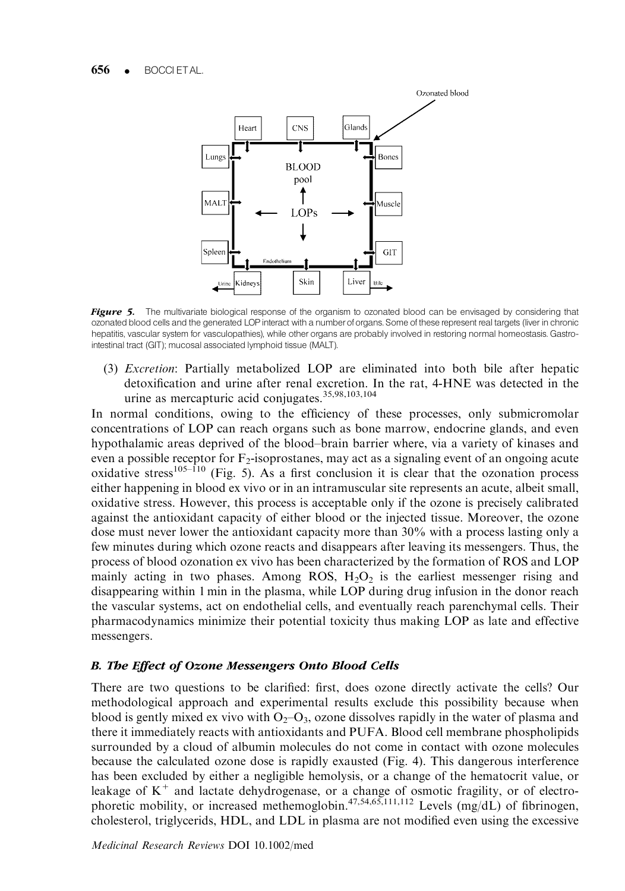#### 656 · BOCCI ET AL.



Figure 5. The multivariate biological response of the organism to ozonated blood can be envisaged by considering that ozonated blood cells and the generated LOP interact with a numberoforgans. Some ofthese represent real targets (liver in chronic hepatitis, vascular system for vasculopathies), while other organs are probably involved in restoring normal homeostasis. Gastrointestinal tract (GIT); mucosal associated lymphoid tissue (MALT).

(3) Excretion: Partially metabolized LOP are eliminated into both bile after hepatic detoxification and urine after renal excretion. In the rat, 4-HNE was detected in the urine as mercapturic acid conjugates.<sup>35,98,103,104</sup>

In normal conditions, owing to the efficiency of these processes, only submicromolar concentrations of LOP can reach organs such as bone marrow, endocrine glands, and even hypothalamic areas deprived of the blood–brain barrier where, via a variety of kinases and even a possible receptor for  $F_2$ -isoprostanes, may act as a signaling event of an ongoing acute oxidative stress<sup>105–110</sup> (Fig. 5). As a first conclusion it is clear that the ozonation process either happening in blood ex vivo or in an intramuscular site represents an acute, albeit small, oxidative stress. However, this process is acceptable only if the ozone is precisely calibrated against the antioxidant capacity of either blood or the injected tissue. Moreover, the ozone dose must never lower the antioxidant capacity more than 30% with a process lasting only a few minutes during which ozone reacts and disappears after leaving its messengers. Thus, the process of blood ozonation ex vivo has been characterized by the formation of ROS and LOP mainly acting in two phases. Among ROS,  $H_2O_2$  is the earliest messenger rising and disappearing within 1 min in the plasma, while LOP during drug infusion in the donor reach the vascular systems, act on endothelial cells, and eventually reach parenchymal cells. Their pharmacodynamics minimize their potential toxicity thus making LOP as late and effective messengers.

# B. The Effect of Ozone Messengers Onto Blood Cells

There are two questions to be clarified: first, does ozone directly activate the cells? Our methodological approach and experimental results exclude this possibility because when blood is gently mixed ex vivo with  $O_2-O_3$ , ozone dissolves rapidly in the water of plasma and there it immediately reacts with antioxidants and PUFA. Blood cell membrane phospholipids surrounded by a cloud of albumin molecules do not come in contact with ozone molecules because the calculated ozone dose is rapidly exausted (Fig. 4). This dangerous interference has been excluded by either a negligible hemolysis, or a change of the hematocrit value, or leakage of  $K^+$  and lactate dehydrogenase, or a change of osmotic fragility, or of electrophoretic mobility, or increased methemoglobin.<sup>47,54,65,111,112</sup> Levels (mg/dL) of fibrinogen, cholesterol, triglycerids, HDL, and LDL in plasma are not modified even using the excessive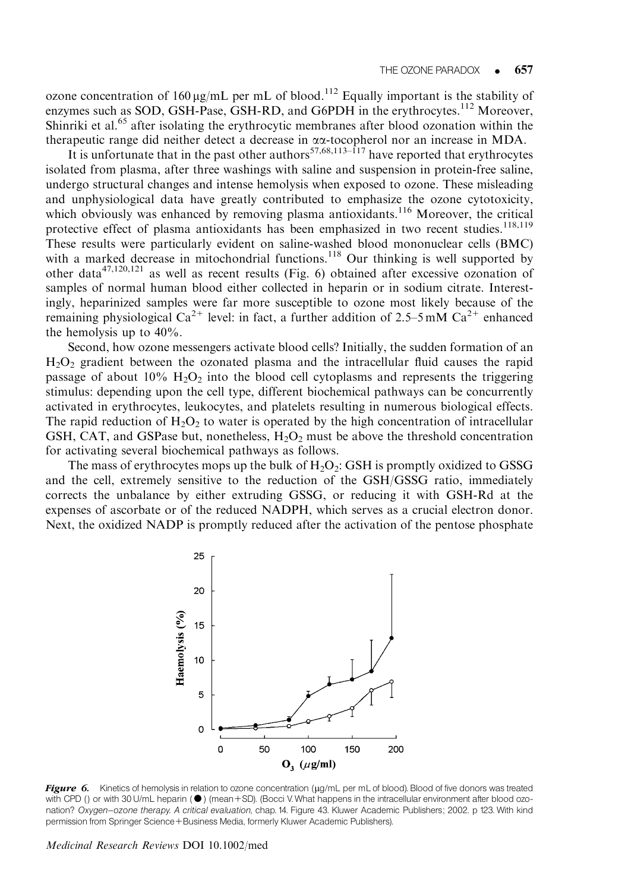ozone concentration of  $160 \mu g/mL$  per mL of blood.<sup>112</sup> Equally important is the stability of enzymes such as SOD, GSH-Pase, GSH-RD, and G6PDH in the erythrocytes.<sup>112</sup> Moreover, Shinriki et al.<sup>65</sup> after isolating the erythrocytic membranes after blood ozonation within the therapeutic range did neither detect a decrease in  $\alpha\alpha$ -tocopherol nor an increase in MDA.

It is unfortunate that in the past other authors<sup>57,68,113–117</sup> have reported that erythrocytes isolated from plasma, after three washings with saline and suspension in protein-free saline, undergo structural changes and intense hemolysis when exposed to ozone. These misleading and unphysiological data have greatly contributed to emphasize the ozone cytotoxicity, which obviously was enhanced by removing plasma antioxidants.<sup>116</sup> Moreover, the critical protective effect of plasma antioxidants has been emphasized in two recent studies.<sup>118,119</sup> These results were particularly evident on saline-washed blood mononuclear cells (BMC) with a marked decrease in mitochondrial functions.<sup>118</sup> Our thinking is well supported by other data<sup>47,120,121</sup> as well as recent results (Fig. 6) obtained after excessive ozonation of samples of normal human blood either collected in heparin or in sodium citrate. Interestingly, heparinized samples were far more susceptible to ozone most likely because of the remaining physiological Ca<sup>2+</sup> level: in fact, a further addition of 2.5–5 mM Ca<sup>2+</sup> enhanced the hemolysis up to 40%.

Second, how ozone messengers activate blood cells? Initially, the sudden formation of an  $H<sub>2</sub>O<sub>2</sub>$  gradient between the ozonated plasma and the intracellular fluid causes the rapid passage of about  $10\%$  H<sub>2</sub>O<sub>2</sub> into the blood cell cytoplasms and represents the triggering stimulus: depending upon the cell type, different biochemical pathways can be concurrently activated in erythrocytes, leukocytes, and platelets resulting in numerous biological effects. The rapid reduction of  $H_2O_2$  to water is operated by the high concentration of intracellular GSH, CAT, and GSPase but, nonetheless,  $H_2O_2$  must be above the threshold concentration for activating several biochemical pathways as follows.

The mass of erythrocytes mops up the bulk of  $H_2O_2$ : GSH is promptly oxidized to GSSG and the cell, extremely sensitive to the reduction of the GSH/GSSG ratio, immediately corrects the unbalance by either extruding GSSG, or reducing it with GSH-Rd at the expenses of ascorbate or of the reduced NADPH, which serves as a crucial electron donor. Next, the oxidized NADP is promptly reduced after the activation of the pentose phosphate



Figure 6. Kinetics of hemolysis in relation to ozone concentration (µg/mL per mL of blood). Blood of five donors was treated with CPD () or with 30 U/mL heparin (<sup>6</sup>) (mean+SD). (Bocci V. What happens in the intracellular environment after blood ozonation? Oxygen--ozone therapy. A critical evaluation, chap. 14. Figure 43. Kluwer Academic Publishers; 2002. p 123. With kind permission from Springer Science + Business Media, formerly Kluwer Academic Publishers).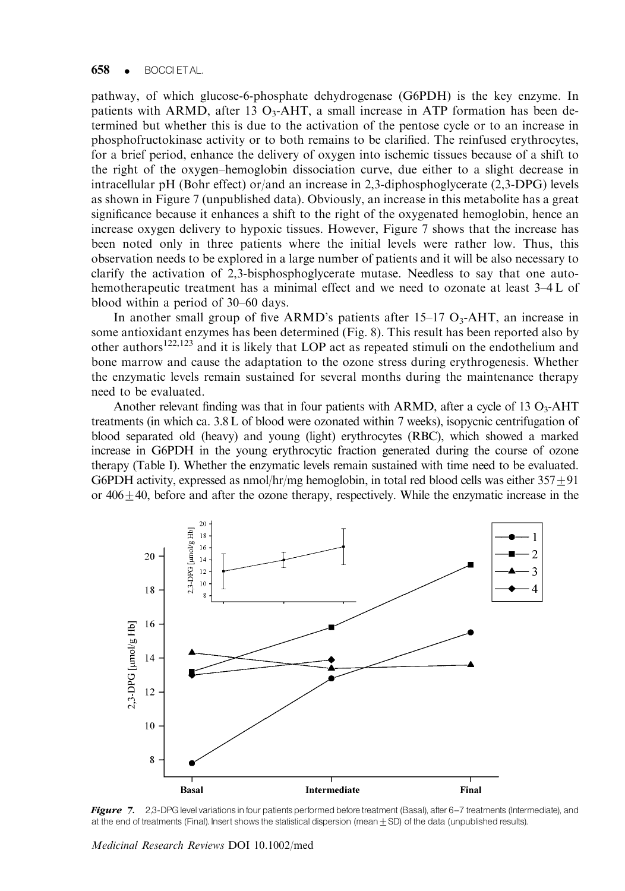#### 658 · BOCCLETAL.

pathway, of which glucose-6-phosphate dehydrogenase (G6PDH) is the key enzyme. In patients with ARMD, after 13 O<sub>3</sub>-AHT, a small increase in ATP formation has been determined but whether this is due to the activation of the pentose cycle or to an increase in phosphofructokinase activity or to both remains to be clarified. The reinfused erythrocytes, for a brief period, enhance the delivery of oxygen into ischemic tissues because of a shift to the right of the oxygen–hemoglobin dissociation curve, due either to a slight decrease in intracellular pH (Bohr effect) or/and an increase in 2,3-diphosphoglycerate (2,3-DPG) levels as shown in Figure 7 (unpublished data). Obviously, an increase in this metabolite has a great significance because it enhances a shift to the right of the oxygenated hemoglobin, hence an increase oxygen delivery to hypoxic tissues. However, Figure 7 shows that the increase has been noted only in three patients where the initial levels were rather low. Thus, this observation needs to be explored in a large number of patients and it will be also necessary to clarify the activation of 2,3-bisphosphoglycerate mutase. Needless to say that one autohemotherapeutic treatment has a minimal effect and we need to ozonate at least  $3-4$  L of blood within a period of 30–60 days.

In another small group of five ARMD's patients after  $15-17$  O<sub>3</sub>-AHT, an increase in some antioxidant enzymes has been determined (Fig. 8). This result has been reported also by other authors<sup>122,123</sup> and it is likely that LOP act as repeated stimuli on the endothelium and bone marrow and cause the adaptation to the ozone stress during erythrogenesis. Whether the enzymatic levels remain sustained for several months during the maintenance therapy need to be evaluated.

Another relevant finding was that in four patients with ARMD, after a cycle of 13  $O<sub>3</sub>$ -AHT treatments (in which ca. 3.8 L of blood were ozonated within 7 weeks), isopycnic centrifugation of blood separated old (heavy) and young (light) erythrocytes (RBC), which showed a marked increase in G6PDH in the young erythrocytic fraction generated during the course of ozone therapy (Table I). Whether the enzymatic levels remain sustained with time need to be evaluated. G6PDH activity, expressed as nmol/hr/mg hemoglobin, in total red blood cells was either  $357\pm91$ or  $406 $\pm 40$ , before and after the ozone therapy, respectively. While the enzymatic increase in the$ 



Figure 7. 2,3-DPG level variations in four patients performed before treatment (Basal), after 6-7 treatments (Intermediate), and at the end of treatments (Final). Insert shows the statistical dispersion (mean  $\pm$  SD) of the data (unpublished results).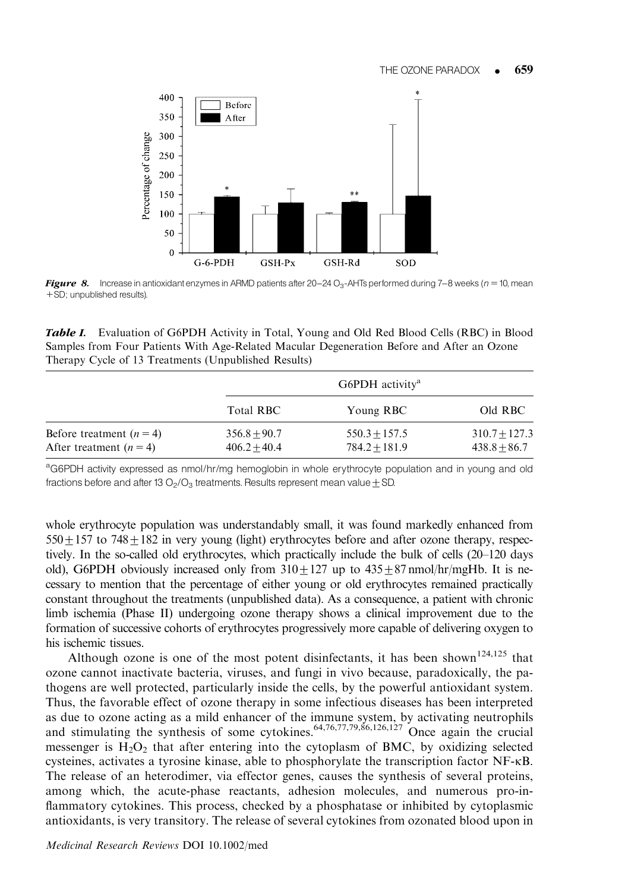

Figure 8. Increase in antioxidant enzymes in ARMD patients after 20-24 O<sub>3</sub>-AHTs performed during 7-8 weeks ( $n = 10$ , mean  $+$ SD; unpublished results).

Table I. Evaluation of G6PDH Activity in Total, Young and Old Red Blood Cells (RBC) in Blood Samples from Four Patients With Age-Related Macular Degeneration Before and After an Ozone Therapy Cycle of 13 Treatments (Unpublished Results)

|                                                     | G6PDH activity <sup>a</sup>      |                                    |                                   |
|-----------------------------------------------------|----------------------------------|------------------------------------|-----------------------------------|
|                                                     | Total RBC                        | Young RBC                          | Old RBC                           |
| Before treatment $(n=4)$<br>After treatment $(n=4)$ | $356.8 + 90.7$<br>$406.2 + 40.4$ | $550.3 + 157.5$<br>$784.2 + 181.9$ | $310.7 + 127.3$<br>$438.8 + 86.7$ |

<sup>a</sup>G6PDH activity expressed as nmol/hr/mg hemoglobin in whole erythrocyte population and in young and old fractions before and after 13 O<sub>2</sub>/O<sub>3</sub> treatments. Results represent mean value  $\pm$  SD.

whole erythrocyte population was understandably small, it was found markedly enhanced from  $550+157$  to  $748+182$  in very young (light) erythrocytes before and after ozone therapy, respectively. In the so-called old erythrocytes, which practically include the bulk of cells (20–120 days old), G6PDH obviously increased only from  $310\pm127$  up to  $435\pm87$  nmol/hr/mgHb. It is necessary to mention that the percentage of either young or old erythrocytes remained practically constant throughout the treatments (unpublished data). As a consequence, a patient with chronic limb ischemia (Phase II) undergoing ozone therapy shows a clinical improvement due to the formation of successive cohorts of erythrocytes progressively more capable of delivering oxygen to his ischemic tissues.

Although ozone is one of the most potent disinfectants, it has been shown<sup>124,125</sup> that ozone cannot inactivate bacteria, viruses, and fungi in vivo because, paradoxically, the pathogens are well protected, particularly inside the cells, by the powerful antioxidant system. Thus, the favorable effect of ozone therapy in some infectious diseases has been interpreted as due to ozone acting as a mild enhancer of the immune system, by activating neutrophils and stimulating the synthesis of some cytokines.  $64,76,77,79,86,126,127$  Once again the crucial messenger is  $H_2O_2$  that after entering into the cytoplasm of BMC, by oxidizing selected cysteines, activates a tyrosine kinase, able to phosphorylate the transcription factor NF-kB. The release of an heterodimer, via effector genes, causes the synthesis of several proteins, among which, the acute-phase reactants, adhesion molecules, and numerous pro-inflammatory cytokines. This process, checked by a phosphatase or inhibited by cytoplasmic antioxidants, is very transitory. The release of several cytokines from ozonated blood upon in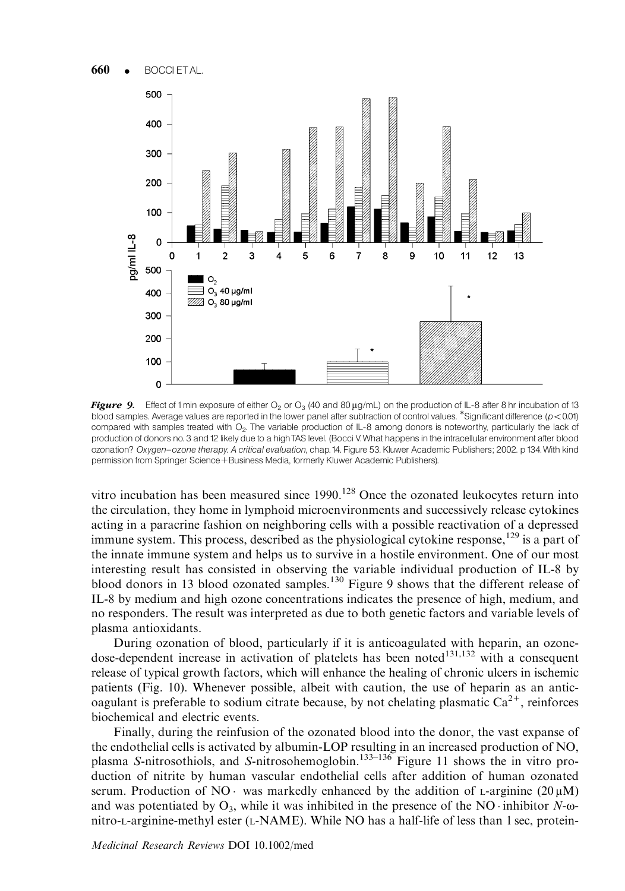

Figure 9. Effect of 1 min exposure of either  $O_2$  or  $O_3$  (40 and 80 µg/mL) on the production of IL-8 after 8 hr incubation of 13 blood samples. Average values are reported in the lower panel after subtraction of control values. \*Significant difference (p < 0.01) compared with samples treated with  $O<sub>2</sub>$ . The variable production of  $IL-8$  among donors is noteworthy, particularly the lack of production of donors no. 3 and 12 likely due to a highTAS level. (Bocci V. What happens in the intracellular environment after blood ozonation? Oxygen--ozone therapy. A critical evaluation, chap.14. Figure 53. Kluwer Academic Publishers; 2002. p 134.With kind permission from Springer Science+Business Media, formerly Kluwer Academic Publishers).

vitro incubation has been measured since  $1990$ .<sup>128</sup> Once the ozonated leukocytes return into the circulation, they home in lymphoid microenvironments and successively release cytokines acting in a paracrine fashion on neighboring cells with a possible reactivation of a depressed immune system. This process, described as the physiological cytokine response,<sup>129</sup> is a part of the innate immune system and helps us to survive in a hostile environment. One of our most interesting result has consisted in observing the variable individual production of IL-8 by blood donors in 13 blood ozonated samples.<sup>130</sup> Figure 9 shows that the different release of IL-8 by medium and high ozone concentrations indicates the presence of high, medium, and no responders. The result was interpreted as due to both genetic factors and variable levels of plasma antioxidants.

During ozonation of blood, particularly if it is anticoagulated with heparin, an ozonedose-dependent increase in activation of platelets has been noted<sup>131,132</sup> with a consequent release of typical growth factors, which will enhance the healing of chronic ulcers in ischemic patients (Fig. 10). Whenever possible, albeit with caution, the use of heparin as an anticoagulant is preferable to sodium citrate because, by not chelating plasmatic  $Ca^{2+}$ , reinforces biochemical and electric events.

Finally, during the reinfusion of the ozonated blood into the donor, the vast expanse of the endothelial cells is activated by albumin-LOP resulting in an increased production of NO, plasma S-nitrosothiols, and S-nitrosohemoglobin.<sup>133–136</sup> Figure 11 shows the in vitro production of nitrite by human vascular endothelial cells after addition of human ozonated serum. Production of NO  $\cdot$  was markedly enhanced by the addition of L-arginine (20  $\mu$ M) and was potentiated by  $O_3$ , while it was inhibited in the presence of the NO  $\cdot$  inhibitor N- $\omega$ nitro-L-arginine-methyl ester (L-NAME). While NO has a half-life of less than 1 sec, protein-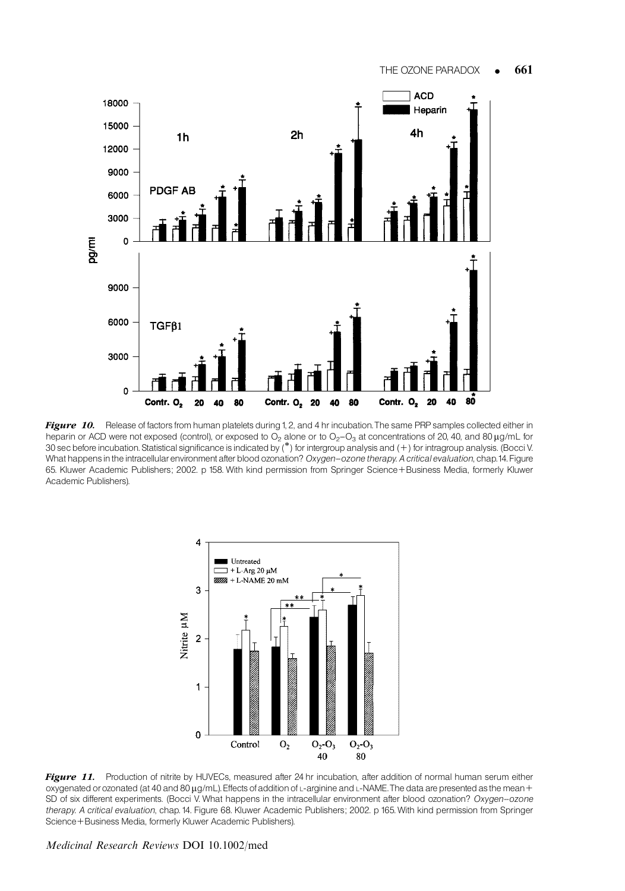

Figure 10. Release of factors from human platelets during 1, 2, and 4 hr incubation. The same PRP samples collected either in heparin or ACD were not exposed (control), or exposed to  $O_2$  alone or to  $O_2-O_3$  at concentrations of 20, 40, and 80 µg/mL for 30 sec before incubation. Statistical significance is indicated by (-) for intergroup analysis and (1) for intragroup analysis. (Bocci V. What happens in the intracellular environment after blood ozonation? Oxygen-ozone therapy. A critical evaluation, chap.14. Figure 65. Kluwer Academic Publishers; 2002. p 158. With kind permission from Springer Science+Business Media, formerly Kluwer Academic Publishers).



Figure 11. Production of nitrite by HUVECs, measured after 24 hr incubation, after addition of normal human serum either  $o$ xygenated orozonated (at 40 and 80  $\mu$ g/mL). Effects of addition of L-arginine and L-NAME. The data are presented as the mean + SD of six different experiments. (Bocci V. What happens in the intracellular environment after blood ozonation? Oxygen-ozone therapy. A critical evaluation, chap. 14. Figure 68. Kluwer Academic Publishers; 2002. p 165. With kind permission from Springer Science+Business Media, formerly Kluwer Academic Publishers).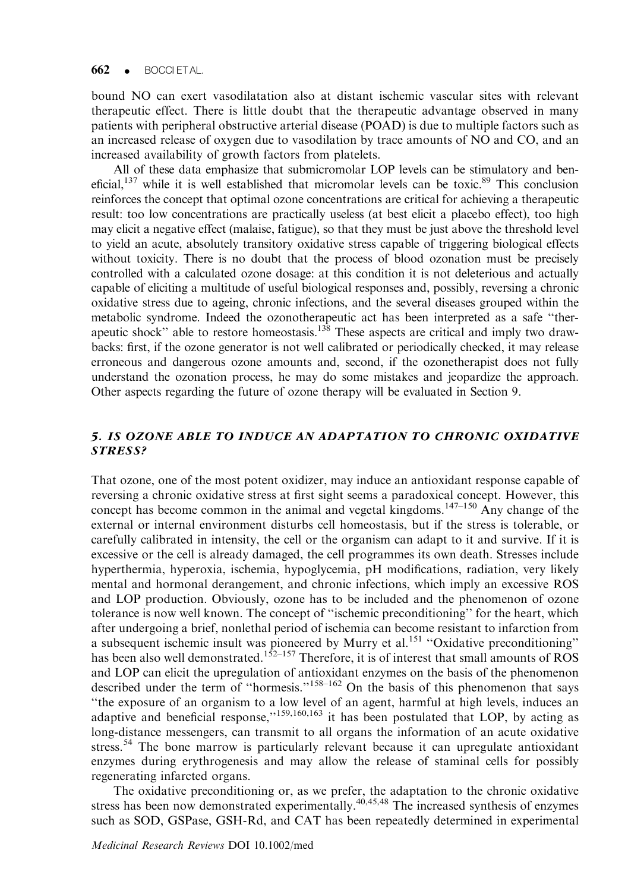bound NO can exert vasodilatation also at distant ischemic vascular sites with relevant therapeutic effect. There is little doubt that the therapeutic advantage observed in many patients with peripheral obstructive arterial disease (POAD) is due to multiple factors such as an increased release of oxygen due to vasodilation by trace amounts of NO and CO, and an increased availability of growth factors from platelets.

All of these data emphasize that submicromolar LOP levels can be stimulatory and beneficial, $137$  while it is well established that micromolar levels can be toxic.<sup>89</sup> This conclusion reinforces the concept that optimal ozone concentrations are critical for achieving a therapeutic result: too low concentrations are practically useless (at best elicit a placebo effect), too high may elicit a negative effect (malaise, fatigue), so that they must be just above the threshold level to yield an acute, absolutely transitory oxidative stress capable of triggering biological effects without toxicity. There is no doubt that the process of blood ozonation must be precisely controlled with a calculated ozone dosage: at this condition it is not deleterious and actually capable of eliciting a multitude of useful biological responses and, possibly, reversing a chronic oxidative stress due to ageing, chronic infections, and the several diseases grouped within the metabolic syndrome. Indeed the ozonotherapeutic act has been interpreted as a safe ''therapeutic shock" able to restore homeostasis.<sup>138</sup> These aspects are critical and imply two drawbacks: first, if the ozone generator is not well calibrated or periodically checked, it may release erroneous and dangerous ozone amounts and, second, if the ozonetherapist does not fully understand the ozonation process, he may do some mistakes and jeopardize the approach. Other aspects regarding the future of ozone therapy will be evaluated in Section 9.

# 5. IS OZONE ABLE TO INDUCE AN ADAPTATION TO CHRONIC OXIDATIVE STRESS?

That ozone, one of the most potent oxidizer, may induce an antioxidant response capable of reversing a chronic oxidative stress at first sight seems a paradoxical concept. However, this concept has become common in the animal and vegetal kingdoms.<sup>147–150</sup> Any change of the external or internal environment disturbs cell homeostasis, but if the stress is tolerable, or carefully calibrated in intensity, the cell or the organism can adapt to it and survive. If it is excessive or the cell is already damaged, the cell programmes its own death. Stresses include hyperthermia, hyperoxia, ischemia, hypoglycemia, pH modifications, radiation, very likely mental and hormonal derangement, and chronic infections, which imply an excessive ROS and LOP production. Obviously, ozone has to be included and the phenomenon of ozone tolerance is now well known. The concept of ''ischemic preconditioning'' for the heart, which after undergoing a brief, nonlethal period of ischemia can become resistant to infarction from a subsequent ischemic insult was pioneered by Murry et al.<sup>151</sup> "Oxidative preconditioning" has been also well demonstrated.<sup>152–157</sup> Therefore, it is of interest that small amounts of ROS and LOP can elicit the upregulation of antioxidant enzymes on the basis of the phenomenon described under the term of ''hormesis.''158–162 On the basis of this phenomenon that says ''the exposure of an organism to a low level of an agent, harmful at high levels, induces an adaptive and beneficial response,"<sup>159,160,163</sup> it has been postulated that LOP, by acting as long-distance messengers, can transmit to all organs the information of an acute oxidative stress.<sup>54</sup> The bone marrow is particularly relevant because it can upregulate antioxidant enzymes during erythrogenesis and may allow the release of staminal cells for possibly regenerating infarcted organs.

The oxidative preconditioning or, as we prefer, the adaptation to the chronic oxidative stress has been now demonstrated experimentally.40,45,48 The increased synthesis of enzymes such as SOD, GSPase, GSH-Rd, and CAT has been repeatedly determined in experimental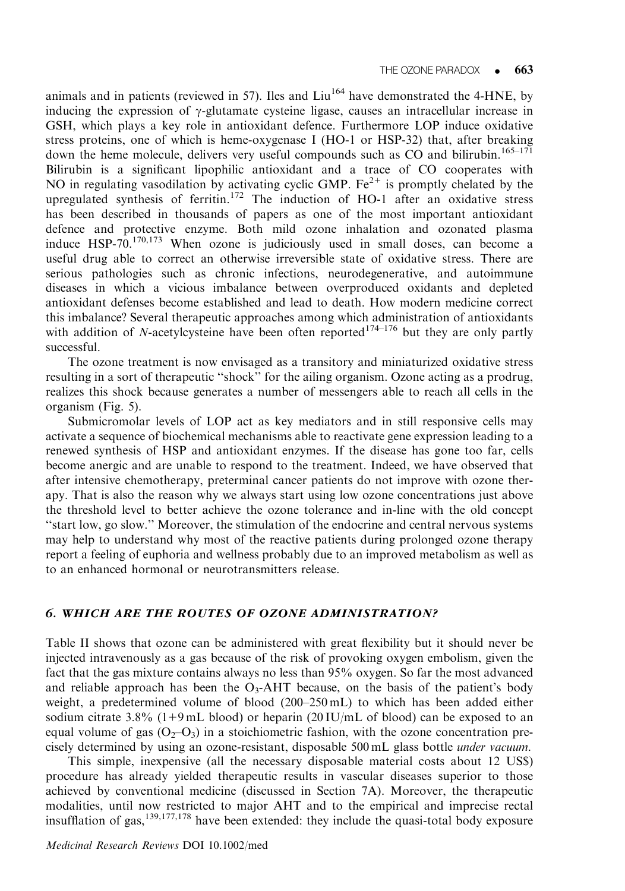animals and in patients (reviewed in 57). Iles and  $\mathrm{Liu}^{164}$  have demonstrated the 4-HNE, by inducing the expression of  $\gamma$ -glutamate cysteine ligase, causes an intracellular increase in GSH, which plays a key role in antioxidant defence. Furthermore LOP induce oxidative stress proteins, one of which is heme-oxygenase I (HO-1 or HSP-32) that, after breaking down the heme molecule, delivers very useful compounds such as  $CO$  and bilirubin.<sup>165–171</sup> Bilirubin is a significant lipophilic antioxidant and a trace of CO cooperates with NO in regulating vasodilation by activating cyclic GMP.  $Fe^{2+}$  is promptly chelated by the upregulated synthesis of ferritin.<sup>172</sup> The induction of HO-1 after an oxidative stress has been described in thousands of papers as one of the most important antioxidant defence and protective enzyme. Both mild ozone inhalation and ozonated plasma induce HSP-70.<sup>170,173</sup> When ozone is judiciously used in small doses, can become a useful drug able to correct an otherwise irreversible state of oxidative stress. There are serious pathologies such as chronic infections, neurodegenerative, and autoimmune diseases in which a vicious imbalance between overproduced oxidants and depleted antioxidant defenses become established and lead to death. How modern medicine correct this imbalance? Several therapeutic approaches among which administration of antioxidants with addition of N-acetylcysteine have been often reported<sup>174–176</sup> but they are only partly successful.

The ozone treatment is now envisaged as a transitory and miniaturized oxidative stress resulting in a sort of therapeutic "shock" for the ailing organism. Ozone acting as a prodrug, realizes this shock because generates a number of messengers able to reach all cells in the organism (Fig. 5).

Submicromolar levels of LOP act as key mediators and in still responsive cells may activate a sequence of biochemical mechanisms able to reactivate gene expression leading to a renewed synthesis of HSP and antioxidant enzymes. If the disease has gone too far, cells become anergic and are unable to respond to the treatment. Indeed, we have observed that after intensive chemotherapy, preterminal cancer patients do not improve with ozone therapy. That is also the reason why we always start using low ozone concentrations just above the threshold level to better achieve the ozone tolerance and in-line with the old concept ''start low, go slow.'' Moreover, the stimulation of the endocrine and central nervous systems may help to understand why most of the reactive patients during prolonged ozone therapy report a feeling of euphoria and wellness probably due to an improved metabolism as well as to an enhanced hormonal or neurotransmitters release.

### 6. WHICH ARE THE ROUTES OF OZONE ADMINISTRATION?

Table II shows that ozone can be administered with great flexibility but it should never be injected intravenously as a gas because of the risk of provoking oxygen embolism, given the fact that the gas mixture contains always no less than 95% oxygen. So far the most advanced and reliable approach has been the  $O_3$ -AHT because, on the basis of the patient's body weight, a predetermined volume of blood (200–250 mL) to which has been added either sodium citrate 3.8% (1+9 mL blood) or heparin (20 IU/mL of blood) can be exposed to an equal volume of gas  $(O_2-O_3)$  in a stoichiometric fashion, with the ozone concentration precisely determined by using an ozone-resistant, disposable 500 mL glass bottle under vacuum.

This simple, inexpensive (all the necessary disposable material costs about 12 US\$) procedure has already yielded therapeutic results in vascular diseases superior to those achieved by conventional medicine (discussed in Section 7A). Moreover, the therapeutic modalities, until now restricted to major AHT and to the empirical and imprecise rectal insufflation of gas,139,177,178 have been extended: they include the quasi-total body exposure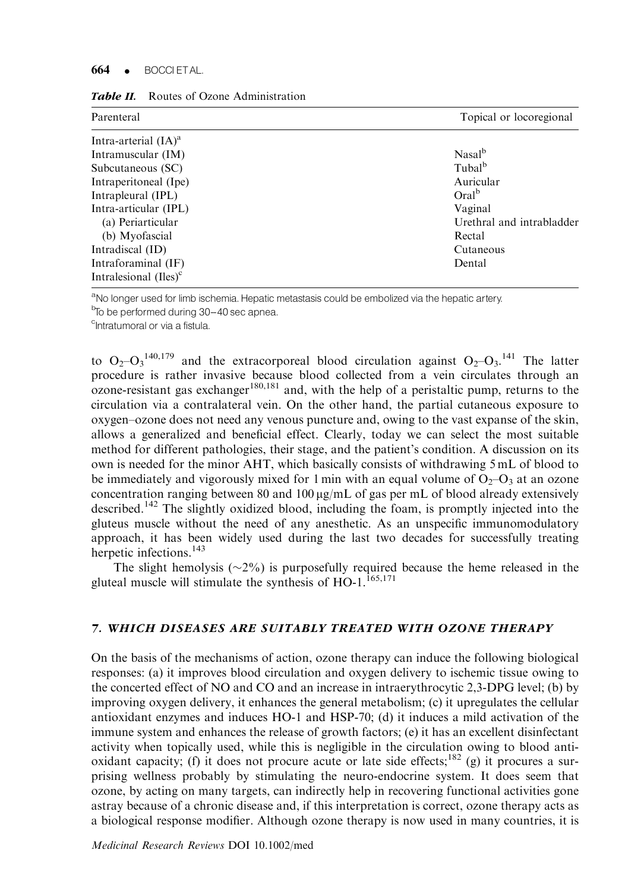| Parenteral               | Topical or locoregional   |  |
|--------------------------|---------------------------|--|
| Intra-arterial $(IA)^a$  |                           |  |
| Intramuscular (IM)       | Nasal <sup>b</sup>        |  |
| Subcutaneous (SC)        | Tubal <sup>b</sup>        |  |
| Intraperitoneal (Ipe)    | Auricular                 |  |
| Intrapleural (IPL)       | O <sup>b</sup>            |  |
| Intra-articular (IPL)    | Vaginal                   |  |
| (a) Periarticular        | Urethral and intrabladder |  |
| (b) Myofascial           | Rectal                    |  |
| Intradiscal (ID)         | Cutaneous                 |  |
| Intraforaminal (IF)      | Dental                    |  |
| Intralesional $(Iles)^c$ |                           |  |

Table II. Routes of Ozone Administration

<sup>a</sup>No longer used for limb ischemia. Hepatic metastasis could be embolized via the hepatic artery.

<sup>b</sup>To be performed during 30-40 sec apnea.

c Intratumoral or via a fistula.

to  $O_2-O_3$ <sup>140,179</sup> and the extracorporeal blood circulation against  $O_2-O_3$ <sup>141</sup>. The latter procedure is rather invasive because blood collected from a vein circulates through an ozone-resistant gas exchanger<sup>180,181</sup> and, with the help of a peristaltic pump, returns to the circulation via a contralateral vein. On the other hand, the partial cutaneous exposure to oxygen–ozone does not need any venous puncture and, owing to the vast expanse of the skin, allows a generalized and beneficial effect. Clearly, today we can select the most suitable method for different pathologies, their stage, and the patient's condition. A discussion on its own is needed for the minor AHT, which basically consists of withdrawing 5 mL of blood to be immediately and vigorously mixed for 1 min with an equal volume of  $O_2-O_3$  at an ozone concentration ranging between 80 and  $100 \mu g/mL$  of gas per mL of blood already extensively described.<sup>142</sup> The slightly oxidized blood, including the foam, is promptly injected into the gluteus muscle without the need of any anesthetic. As an unspecific immunomodulatory approach, it has been widely used during the last two decades for successfully treating herpetic infections.<sup>143</sup>

The slight hemolysis  $(\sim 2\%)$  is purposefully required because the heme released in the gluteal muscle will stimulate the synthesis of  $HO-1$ .<sup>165,171</sup>

## 7. WHICH DISEASES ARE SUITABLY TREATED WITH OZONE THERAPY

On the basis of the mechanisms of action, ozone therapy can induce the following biological responses: (a) it improves blood circulation and oxygen delivery to ischemic tissue owing to the concerted effect of NO and CO and an increase in intraerythrocytic 2,3-DPG level; (b) by improving oxygen delivery, it enhances the general metabolism; (c) it upregulates the cellular antioxidant enzymes and induces HO-1 and HSP-70; (d) it induces a mild activation of the immune system and enhances the release of growth factors; (e) it has an excellent disinfectant activity when topically used, while this is negligible in the circulation owing to blood antioxidant capacity; (f) it does not procure acute or late side effects;<sup>182</sup> (g) it procures a surprising wellness probably by stimulating the neuro-endocrine system. It does seem that ozone, by acting on many targets, can indirectly help in recovering functional activities gone astray because of a chronic disease and, if this interpretation is correct, ozone therapy acts as a biological response modifier. Although ozone therapy is now used in many countries, it is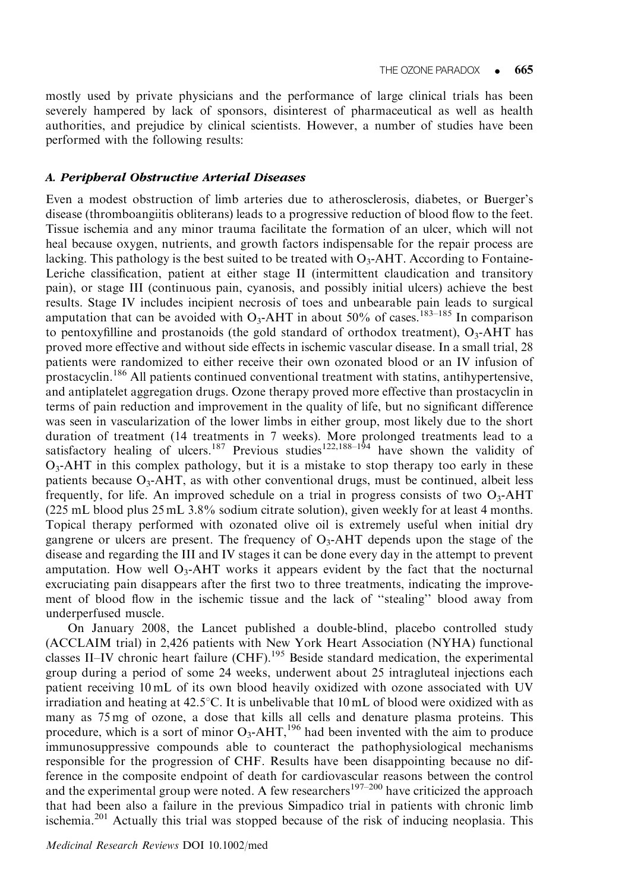mostly used by private physicians and the performance of large clinical trials has been severely hampered by lack of sponsors, disinterest of pharmaceutical as well as health authorities, and prejudice by clinical scientists. However, a number of studies have been performed with the following results:

## A. Peripheral Obstructive Arterial Diseases

Even a modest obstruction of limb arteries due to atherosclerosis, diabetes, or Buerger's disease (thromboangiitis obliterans) leads to a progressive reduction of blood flow to the feet. Tissue ischemia and any minor trauma facilitate the formation of an ulcer, which will not heal because oxygen, nutrients, and growth factors indispensable for the repair process are lacking. This pathology is the best suited to be treated with  $O_3$ -AHT. According to Fontaine-Leriche classification, patient at either stage II (intermittent claudication and transitory pain), or stage III (continuous pain, cyanosis, and possibly initial ulcers) achieve the best results. Stage IV includes incipient necrosis of toes and unbearable pain leads to surgical amputation that can be avoided with  $O_3$ -AHT in about 50% of cases.<sup>183–185</sup> In comparison to pentoxyfilline and prostanoids (the gold standard of orthodox treatment),  $O_3$ -AHT has proved more effective and without side effects in ischemic vascular disease. In a small trial, 28 patients were randomized to either receive their own ozonated blood or an IV infusion of prostacyclin.<sup>186</sup> All patients continued conventional treatment with statins, antihypertensive, and antiplatelet aggregation drugs. Ozone therapy proved more effective than prostacyclin in terms of pain reduction and improvement in the quality of life, but no significant difference was seen in vascularization of the lower limbs in either group, most likely due to the short duration of treatment (14 treatments in 7 weeks). More prolonged treatments lead to a satisfactory healing of ulcers.<sup>187</sup> Previous studies<sup>122,188-194</sup> have shown the validity of  $O_3$ -AHT in this complex pathology, but it is a mistake to stop therapy too early in these patients because  $O_3$ -AHT, as with other conventional drugs, must be continued, albeit less frequently, for life. An improved schedule on a trial in progress consists of two  $O<sub>3</sub>$ -AHT (225 mL blood plus 25 mL 3.8% sodium citrate solution), given weekly for at least 4 months. Topical therapy performed with ozonated olive oil is extremely useful when initial dry gangrene or ulcers are present. The frequency of  $O_3$ -AHT depends upon the stage of the disease and regarding the III and IV stages it can be done every day in the attempt to prevent amputation. How well  $O_3$ -AHT works it appears evident by the fact that the nocturnal excruciating pain disappears after the first two to three treatments, indicating the improvement of blood flow in the ischemic tissue and the lack of ''stealing'' blood away from underperfused muscle.

On January 2008, the Lancet published a double-blind, placebo controlled study (ACCLAIM trial) in 2,426 patients with New York Heart Association (NYHA) functional classes II–IV chronic heart failure  $(CHF)$ <sup>195</sup> Beside standard medication, the experimental group during a period of some 24 weeks, underwent about 25 intragluteal injections each patient receiving 10 mL of its own blood heavily oxidized with ozone associated with UV irradiation and heating at  $42.5^{\circ}$ C. It is unbelivable that 10 mL of blood were oxidized with as many as 75 mg of ozone, a dose that kills all cells and denature plasma proteins. This procedure, which is a sort of minor  $O_3$ -AHT,<sup>196</sup> had been invented with the aim to produce immunosuppressive compounds able to counteract the pathophysiological mechanisms responsible for the progression of CHF. Results have been disappointing because no difference in the composite endpoint of death for cardiovascular reasons between the control and the experimental group were noted. A few researchers<sup>197–200</sup> have criticized the approach that had been also a failure in the previous Simpadico trial in patients with chronic limb ischemia.<sup>201</sup> Actually this trial was stopped because of the risk of inducing neoplasia. This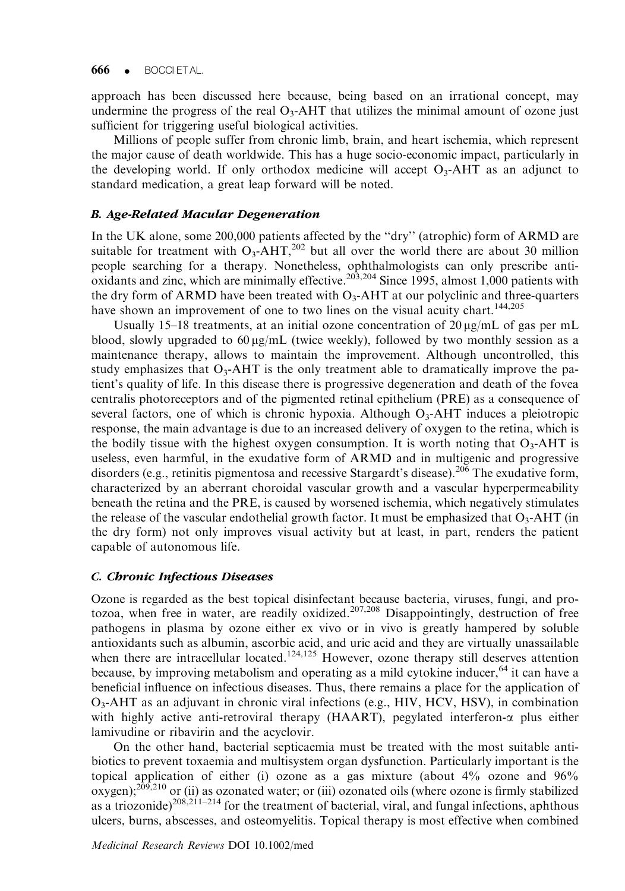approach has been discussed here because, being based on an irrational concept, may undermine the progress of the real  $O_3$ -AHT that utilizes the minimal amount of ozone just sufficient for triggering useful biological activities.

Millions of people suffer from chronic limb, brain, and heart ischemia, which represent the major cause of death worldwide. This has a huge socio-economic impact, particularly in the developing world. If only orthodox medicine will accept  $O_3$ -AHT as an adjunct to standard medication, a great leap forward will be noted.

## B. Age-Related Macular Degeneration

In the UK alone, some 200,000 patients affected by the ''dry'' (atrophic) form of ARMD are suitable for treatment with  $O_3$ -AHT,<sup>202</sup> but all over the world there are about 30 million people searching for a therapy. Nonetheless, ophthalmologists can only prescribe antioxidants and zinc, which are minimally effective.<sup>203,204</sup> Since 1995, almost 1,000 patients with the dry form of ARMD have been treated with  $O_3$ -AHT at our polyclinic and three-quarters have shown an improvement of one to two lines on the visual acuity chart.<sup>144,205</sup>

Usually 15–18 treatments, at an initial ozone concentration of  $20 \mu g/mL$  of gas per mL blood, slowly upgraded to  $60 \mu g/mL$  (twice weekly), followed by two monthly session as a maintenance therapy, allows to maintain the improvement. Although uncontrolled, this study emphasizes that  $O_3$ -AHT is the only treatment able to dramatically improve the patient's quality of life. In this disease there is progressive degeneration and death of the fovea centralis photoreceptors and of the pigmented retinal epithelium (PRE) as a consequence of several factors, one of which is chronic hypoxia. Although  $O_3$ -AHT induces a pleiotropic response, the main advantage is due to an increased delivery of oxygen to the retina, which is the bodily tissue with the highest oxygen consumption. It is worth noting that  $O_3$ -AHT is useless, even harmful, in the exudative form of ARMD and in multigenic and progressive disorders (e.g., retinitis pigmentosa and recessive Stargardt's disease).<sup>206</sup> The exudative form, characterized by an aberrant choroidal vascular growth and a vascular hyperpermeability beneath the retina and the PRE, is caused by worsened ischemia, which negatively stimulates the release of the vascular endothelial growth factor. It must be emphasized that  $O_3$ -AHT (in the dry form) not only improves visual activity but at least, in part, renders the patient capable of autonomous life.

# C. Chronic Infectious Diseases

Ozone is regarded as the best topical disinfectant because bacteria, viruses, fungi, and protozoa, when free in water, are readily oxidized.<sup>207,208</sup> Disappointingly, destruction of free pathogens in plasma by ozone either ex vivo or in vivo is greatly hampered by soluble antioxidants such as albumin, ascorbic acid, and uric acid and they are virtually unassailable when there are intracellular located.<sup>124,125</sup> However, ozone therapy still deserves attention because, by improving metabolism and operating as a mild cytokine inducer, <sup>64</sup> it can have a beneficial influence on infectious diseases. Thus, there remains a place for the application of O3-AHT as an adjuvant in chronic viral infections (e.g., HIV, HCV, HSV), in combination with highly active anti-retroviral therapy (HAART), pegylated interferon- $\alpha$  plus either lamivudine or ribavirin and the acyclovir.

On the other hand, bacterial septicaemia must be treated with the most suitable antibiotics to prevent toxaemia and multisystem organ dysfunction. Particularly important is the topical application of either (i) ozone as a gas mixture (about 4% ozone and 96% oxygen);209,210 or (ii) as ozonated water; or (iii) ozonated oils (where ozone is firmly stabilized as a triozonide)<sup>208,211–214</sup> for the treatment of bacterial, viral, and fungal infections, aphthous ulcers, burns, abscesses, and osteomyelitis. Topical therapy is most effective when combined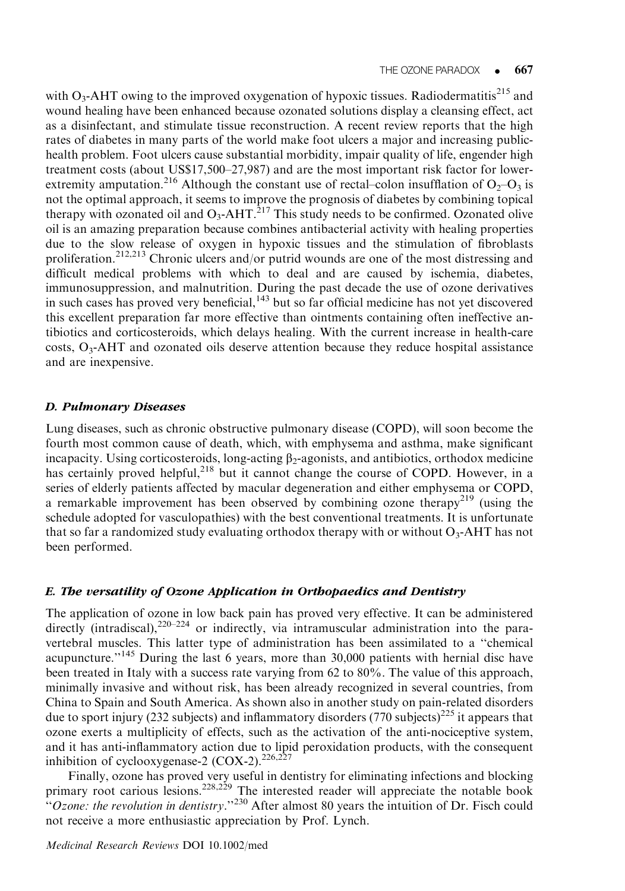with O<sub>3</sub>-AHT owing to the improved oxygenation of hypoxic tissues. Radiodermatitis<sup>215</sup> and wound healing have been enhanced because ozonated solutions display a cleansing effect, act as a disinfectant, and stimulate tissue reconstruction. A recent review reports that the high rates of diabetes in many parts of the world make foot ulcers a major and increasing publichealth problem. Foot ulcers cause substantial morbidity, impair quality of life, engender high treatment costs (about US\$17,500–27,987) and are the most important risk factor for lowerextremity amputation.<sup>216</sup> Although the constant use of rectal–colon insufflation of  $O_2-O_3$  is not the optimal approach, it seems to improve the prognosis of diabetes by combining topical therapy with ozonated oil and  $O_3$ -AHT.<sup>217</sup> This study needs to be confirmed. Ozonated olive oil is an amazing preparation because combines antibacterial activity with healing properties due to the slow release of oxygen in hypoxic tissues and the stimulation of fibroblasts proliferation.<sup>212,213</sup> Chronic ulcers and/or putrid wounds are one of the most distressing and difficult medical problems with which to deal and are caused by ischemia, diabetes, immunosuppression, and malnutrition. During the past decade the use of ozone derivatives in such cases has proved very beneficial, $143$  but so far official medicine has not yet discovered this excellent preparation far more effective than ointments containing often ineffective antibiotics and corticosteroids, which delays healing. With the current increase in health-care costs,  $O_3$ -AHT and ozonated oils deserve attention because they reduce hospital assistance and are inexpensive.

## D. Pulmonary Diseases

Lung diseases, such as chronic obstructive pulmonary disease (COPD), will soon become the fourth most common cause of death, which, with emphysema and asthma, make significant incapacity. Using corticosteroids, long-acting  $\beta_2$ -agonists, and antibiotics, orthodox medicine has certainly proved helpful,<sup>218</sup> but it cannot change the course of COPD. However, in a series of elderly patients affected by macular degeneration and either emphysema or COPD, a remarkable improvement has been observed by combining ozone therapy<sup>219</sup> (using the schedule adopted for vasculopathies) with the best conventional treatments. It is unfortunate that so far a randomized study evaluating orthodox therapy with or without  $O_3$ -AHT has not been performed.

# E. The versatility of Ozone Application in Orthopaedics and Dentistry

The application of ozone in low back pain has proved very effective. It can be administered directly (intradiscal),  $220-224$  or indirectly, via intramuscular administration into the paravertebral muscles. This latter type of administration has been assimilated to a ''chemical acupuncture."<sup>145</sup> During the last 6 years, more than  $30,000$  patients with hernial disc have been treated in Italy with a success rate varying from 62 to 80%. The value of this approach, minimally invasive and without risk, has been already recognized in several countries, from China to Spain and South America. As shown also in another study on pain-related disorders due to sport injury (232 subjects) and inflammatory disorders (770 subjects)<sup>225</sup> it appears that ozone exerts a multiplicity of effects, such as the activation of the anti-nociceptive system, and it has anti-inflammatory action due to lipid peroxidation products, with the consequent inhibition of cyclooxygenase-2 (COX-2).<sup>226,227</sup>

Finally, ozone has proved very useful in dentistry for eliminating infections and blocking primary root carious lesions.<sup>228,229</sup> The interested reader will appreciate the notable book  $^{14}$ Ozone: the revolution in dentistry."<sup>230</sup> After almost 80 years the intuition of Dr. Fisch could not receive a more enthusiastic appreciation by Prof. Lynch.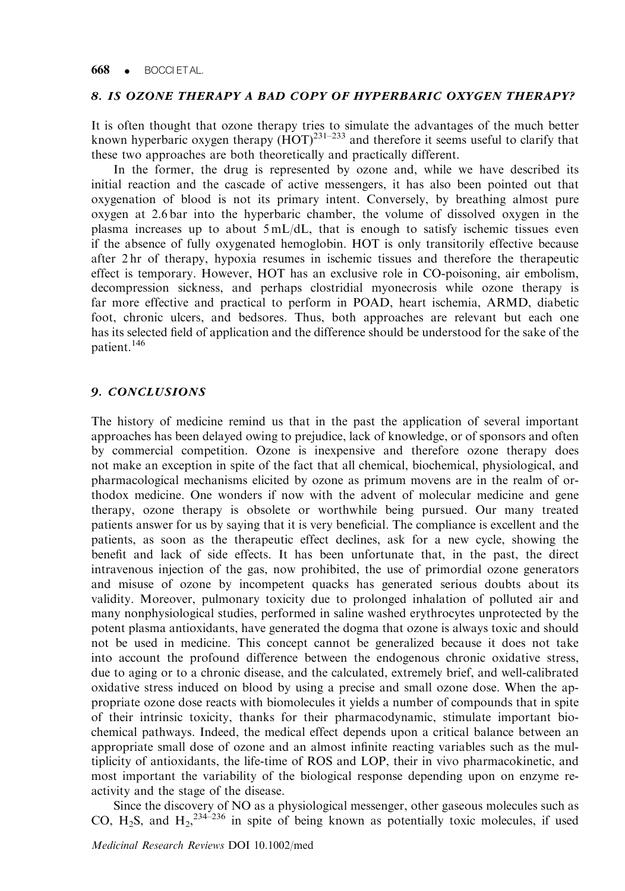# 8. IS OZONE THERAPY A BAD COPY OF HYPERBARIC OXYGEN THERAPY?

It is often thought that ozone therapy tries to simulate the advantages of the much better known hyperbaric oxygen therapy  $(HOT)^{231-233}$  and therefore it seems useful to clarify that these two approaches are both theoretically and practically different.

In the former, the drug is represented by ozone and, while we have described its initial reaction and the cascade of active messengers, it has also been pointed out that oxygenation of blood is not its primary intent. Conversely, by breathing almost pure oxygen at 2.6 bar into the hyperbaric chamber, the volume of dissolved oxygen in the plasma increases up to about  $5 \text{ mL/dL}$ , that is enough to satisfy ischemic tissues even if the absence of fully oxygenated hemoglobin. HOT is only transitorily effective because after 2 hr of therapy, hypoxia resumes in ischemic tissues and therefore the therapeutic effect is temporary. However, HOT has an exclusive role in CO-poisoning, air embolism, decompression sickness, and perhaps clostridial myonecrosis while ozone therapy is far more effective and practical to perform in POAD, heart ischemia, ARMD, diabetic foot, chronic ulcers, and bedsores. Thus, both approaches are relevant but each one has its selected field of application and the difference should be understood for the sake of the patient.<sup>146</sup>

# 9. CONCLUSIONS

The history of medicine remind us that in the past the application of several important approaches has been delayed owing to prejudice, lack of knowledge, or of sponsors and often by commercial competition. Ozone is inexpensive and therefore ozone therapy does not make an exception in spite of the fact that all chemical, biochemical, physiological, and pharmacological mechanisms elicited by ozone as primum movens are in the realm of orthodox medicine. One wonders if now with the advent of molecular medicine and gene therapy, ozone therapy is obsolete or worthwhile being pursued. Our many treated patients answer for us by saying that it is very beneficial. The compliance is excellent and the patients, as soon as the therapeutic effect declines, ask for a new cycle, showing the benefit and lack of side effects. It has been unfortunate that, in the past, the direct intravenous injection of the gas, now prohibited, the use of primordial ozone generators and misuse of ozone by incompetent quacks has generated serious doubts about its validity. Moreover, pulmonary toxicity due to prolonged inhalation of polluted air and many nonphysiological studies, performed in saline washed erythrocytes unprotected by the potent plasma antioxidants, have generated the dogma that ozone is always toxic and should not be used in medicine. This concept cannot be generalized because it does not take into account the profound difference between the endogenous chronic oxidative stress, due to aging or to a chronic disease, and the calculated, extremely brief, and well-calibrated oxidative stress induced on blood by using a precise and small ozone dose. When the appropriate ozone dose reacts with biomolecules it yields a number of compounds that in spite of their intrinsic toxicity, thanks for their pharmacodynamic, stimulate important biochemical pathways. Indeed, the medical effect depends upon a critical balance between an appropriate small dose of ozone and an almost infinite reacting variables such as the multiplicity of antioxidants, the life-time of ROS and LOP, their in vivo pharmacokinetic, and most important the variability of the biological response depending upon on enzyme reactivity and the stage of the disease.

Since the discovery of NO as a physiological messenger, other gaseous molecules such as CO,  $H_2S$ , and  $H_2$ ,  $234-236$  in spite of being known as potentially toxic molecules, if used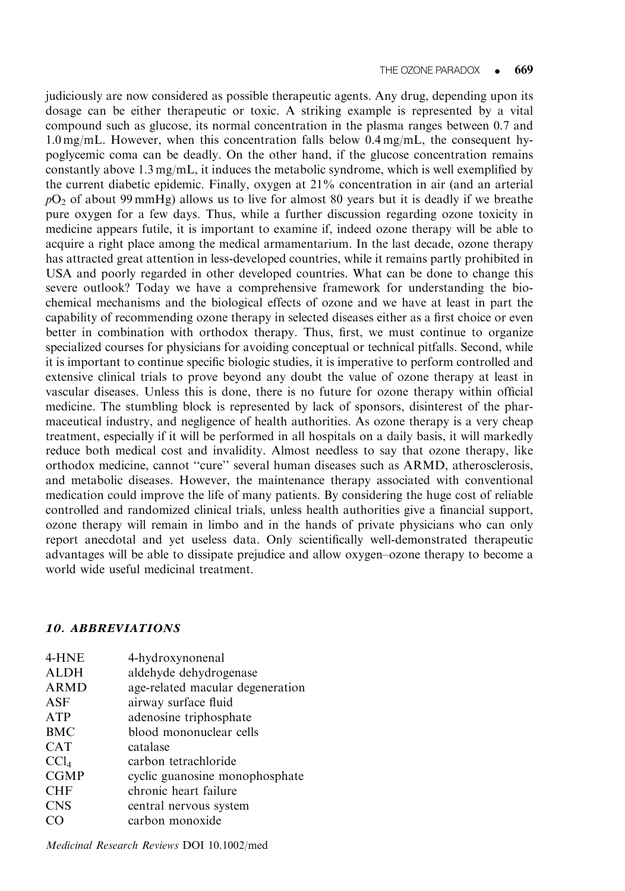judiciously are now considered as possible therapeutic agents. Any drug, depending upon its dosage can be either therapeutic or toxic. A striking example is represented by a vital compound such as glucose, its normal concentration in the plasma ranges between 0.7 and  $1.0 \,\text{mg/mL}$ . However, when this concentration falls below  $0.4 \,\text{mg/mL}$ , the consequent hypoglycemic coma can be deadly. On the other hand, if the glucose concentration remains constantly above 1.3 mg/mL, it induces the metabolic syndrome, which is well exemplified by the current diabetic epidemic. Finally, oxygen at 21% concentration in air (and an arterial  $pO<sub>2</sub>$  of about 99 mmHg) allows us to live for almost 80 years but it is deadly if we breathe pure oxygen for a few days. Thus, while a further discussion regarding ozone toxicity in medicine appears futile, it is important to examine if, indeed ozone therapy will be able to acquire a right place among the medical armamentarium. In the last decade, ozone therapy has attracted great attention in less-developed countries, while it remains partly prohibited in USA and poorly regarded in other developed countries. What can be done to change this severe outlook? Today we have a comprehensive framework for understanding the biochemical mechanisms and the biological effects of ozone and we have at least in part the capability of recommending ozone therapy in selected diseases either as a first choice or even better in combination with orthodox therapy. Thus, first, we must continue to organize specialized courses for physicians for avoiding conceptual or technical pitfalls. Second, while it is important to continue specific biologic studies, it is imperative to perform controlled and extensive clinical trials to prove beyond any doubt the value of ozone therapy at least in vascular diseases. Unless this is done, there is no future for ozone therapy within official medicine. The stumbling block is represented by lack of sponsors, disinterest of the pharmaceutical industry, and negligence of health authorities. As ozone therapy is a very cheap treatment, especially if it will be performed in all hospitals on a daily basis, it will markedly reduce both medical cost and invalidity. Almost needless to say that ozone therapy, like orthodox medicine, cannot ''cure'' several human diseases such as ARMD, atherosclerosis, and metabolic diseases. However, the maintenance therapy associated with conventional medication could improve the life of many patients. By considering the huge cost of reliable controlled and randomized clinical trials, unless health authorities give a financial support, ozone therapy will remain in limbo and in the hands of private physicians who can only report anecdotal and yet useless data. Only scientifically well-demonstrated therapeutic advantages will be able to dissipate prejudice and allow oxygen–ozone therapy to become a world wide useful medicinal treatment.

#### 10. ABBREVIATIONS

| 4-HNE            | 4-hydroxynonenal                 |
|------------------|----------------------------------|
| ALDH             | aldehyde dehydrogenase           |
| <b>ARMD</b>      | age-related macular degeneration |
| ASF              | airway surface fluid             |
| <b>ATP</b>       | adenosine triphosphate           |
| BMC              | blood mononuclear cells          |
| <b>CAT</b>       | catalase                         |
| CCl <sub>4</sub> | carbon tetrachloride             |
| <b>CGMP</b>      | cyclic guanosine monophosphate   |
| <b>CHF</b>       | chronic heart failure            |
| <b>CNS</b>       | central nervous system           |
|                  | carbon monoxide                  |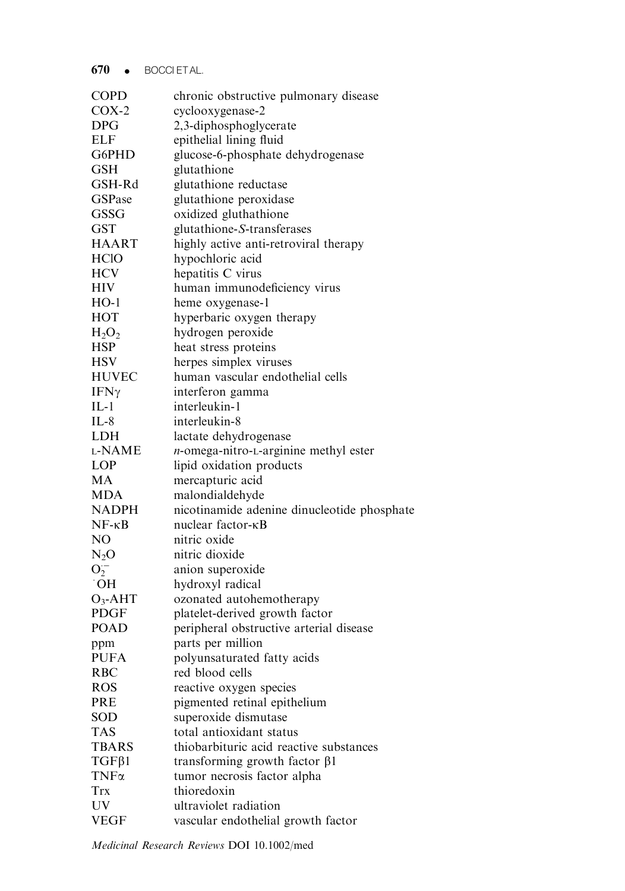| <b>COPD</b>     | chronic obstructive pulmonary disease       |
|-----------------|---------------------------------------------|
| $COX-2$         | cyclooxygenase-2                            |
| <b>DPG</b>      | 2,3-diphosphoglycerate                      |
| <b>ELF</b>      | epithelial lining fluid                     |
| G6PHD           | glucose-6-phosphate dehydrogenase           |
| <b>GSH</b>      | glutathione                                 |
| GSH-Rd          | glutathione reductase                       |
| GSPase          | glutathione peroxidase                      |
| <b>GSSG</b>     | oxidized gluthathione                       |
| <b>GST</b>      | glutathione-S-transferases                  |
| <b>HAART</b>    | highly active anti-retroviral therapy       |
| <b>HClO</b>     | hypochloric acid                            |
| <b>HCV</b>      | hepatitis C virus                           |
| HIV             | human immunodeficiency virus                |
| $HO-1$          | heme oxygenase-1                            |
| <b>HOT</b>      | hyperbaric oxygen therapy                   |
| $H_2O_2$        | hydrogen peroxide                           |
| <b>HSP</b>      | heat stress proteins                        |
| <b>HSV</b>      | herpes simplex viruses                      |
| <b>HUVEC</b>    | human vascular endothelial cells            |
| $IFN\gamma$     | interferon gamma                            |
| $IL-1$          | interleukin-1                               |
| $IL-8$          | interleukin-8                               |
| <b>LDH</b>      | lactate dehydrogenase                       |
| L-NAME          | n-omega-nitro-L-arginine methyl ester       |
| <b>LOP</b>      | lipid oxidation products                    |
| <b>MA</b>       | mercapturic acid                            |
| <b>MDA</b>      | malondialdehyde                             |
| <b>NADPH</b>    | nicotinamide adenine dinucleotide phosphate |
| $NF - \kappa B$ | nuclear factor- <sub>KB</sub>               |
| NO              | nitric oxide                                |
| $N_2O$          | nitric dioxide                              |
| $O_2^{\cdot-}$  | anion superoxide                            |
| $\Delta$ OH     | hydroxyl radical                            |
| $O_3$ -AHT      | ozonated autohemotherapy                    |
| <b>PDGF</b>     | platelet-derived growth factor              |
| <b>POAD</b>     | peripheral obstructive arterial disease     |
| ppm             | parts per million                           |
| <b>PUFA</b>     | polyunsaturated fatty acids                 |
| <b>RBC</b>      | red blood cells                             |
| <b>ROS</b>      | reactive oxygen species                     |
| PRE             | pigmented retinal epithelium                |
| SOD             | superoxide dismutase                        |
| <b>TAS</b>      | total antioxidant status                    |
| <b>TBARS</b>    | thiobarbituric acid reactive substances     |
| $TGF\beta1$     | transforming growth factor $\beta$ 1        |
| $TNF\alpha$     | tumor necrosis factor alpha                 |
| Trx             | thioredoxin                                 |
| UV              | ultraviolet radiation                       |
| <b>VEGF</b>     | vascular endothelial growth factor          |
|                 |                                             |

670 **•** BOCCI ET AL.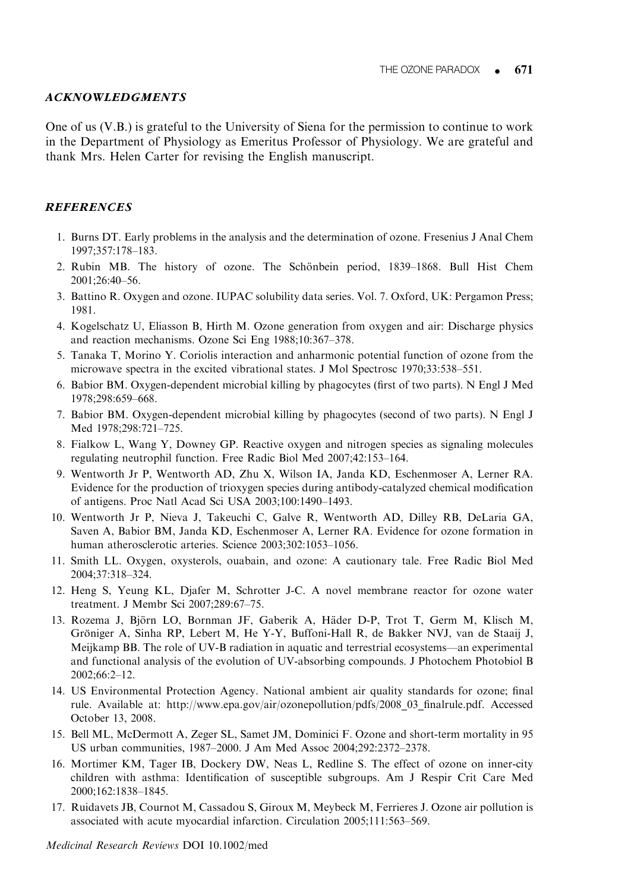## ACKNOWLEDGMENTS

One of us (V.B.) is grateful to the University of Siena for the permission to continue to work in the Department of Physiology as Emeritus Professor of Physiology. We are grateful and thank Mrs. Helen Carter for revising the English manuscript.

## **REFERENCES**

- 1. Burns DT. Early problems in the analysis and the determination of ozone. Fresenius J Anal Chem 1997;357:178–183.
- 2. Rubin MB. The history of ozone. The Schönbein period, 1839–1868. Bull Hist Chem 2001;26:40–56.
- 3. Battino R. Oxygen and ozone. IUPAC solubility data series. Vol. 7. Oxford, UK: Pergamon Press; 1981.
- 4. Kogelschatz U, Eliasson B, Hirth M. Ozone generation from oxygen and air: Discharge physics and reaction mechanisms. Ozone Sci Eng 1988;10:367–378.
- 5. Tanaka T, Morino Y. Coriolis interaction and anharmonic potential function of ozone from the microwave spectra in the excited vibrational states. J Mol Spectrosc 1970;33:538–551.
- 6. Babior BM. Oxygen-dependent microbial killing by phagocytes (first of two parts). N Engl J Med 1978;298:659–668.
- 7. Babior BM. Oxygen-dependent microbial killing by phagocytes (second of two parts). N Engl J Med 1978;298:721–725.
- 8. Fialkow L, Wang Y, Downey GP. Reactive oxygen and nitrogen species as signaling molecules regulating neutrophil function. Free Radic Biol Med 2007;42:153–164.
- 9. Wentworth Jr P, Wentworth AD, Zhu X, Wilson IA, Janda KD, Eschenmoser A, Lerner RA. Evidence for the production of trioxygen species during antibody-catalyzed chemical modification of antigens. Proc Natl Acad Sci USA 2003;100:1490–1493.
- 10. Wentworth Jr P, Nieva J, Takeuchi C, Galve R, Wentworth AD, Dilley RB, DeLaria GA, Saven A, Babior BM, Janda KD, Eschenmoser A, Lerner RA. Evidence for ozone formation in human atherosclerotic arteries. Science 2003;302:1053–1056.
- 11. Smith LL. Oxygen, oxysterols, ouabain, and ozone: A cautionary tale. Free Radic Biol Med 2004;37:318–324.
- 12. Heng S, Yeung KL, Djafer M, Schrotter J-C. A novel membrane reactor for ozone water treatment. J Membr Sci 2007;289:67–75.
- 13. Rozema J, Björn LO, Bornman JF, Gaberik A, Häder D-P, Trot T, Germ M, Klisch M, Gröniger A, Sinha RP, Lebert M, He Y-Y, Buffoni-Hall R, de Bakker NVJ, van de Staaij J, Meijkamp BB. The role of UV-B radiation in aquatic and terrestrial ecosystems—an experimental and functional analysis of the evolution of UV-absorbing compounds. J Photochem Photobiol B 2002;66:2–12.
- 14. US Environmental Protection Agency. National ambient air quality standards for ozone; final rule. Available at: http://www.epa.gov/air/ozonepollution/pdfs/2008\_03\_finalrule.pdf. Accessed October 13, 2008.
- 15. Bell ML, McDermott A, Zeger SL, Samet JM, Dominici F. Ozone and short-term mortality in 95 US urban communities, 1987–2000. J Am Med Assoc 2004;292:2372–2378.
- 16. Mortimer KM, Tager IB, Dockery DW, Neas L, Redline S. The effect of ozone on inner-city children with asthma: Identification of susceptible subgroups. Am J Respir Crit Care Med 2000;162:1838–1845.
- 17. Ruidavets JB, Cournot M, Cassadou S, Giroux M, Meybeck M, Ferrieres J. Ozone air pollution is associated with acute myocardial infarction. Circulation 2005;111:563–569.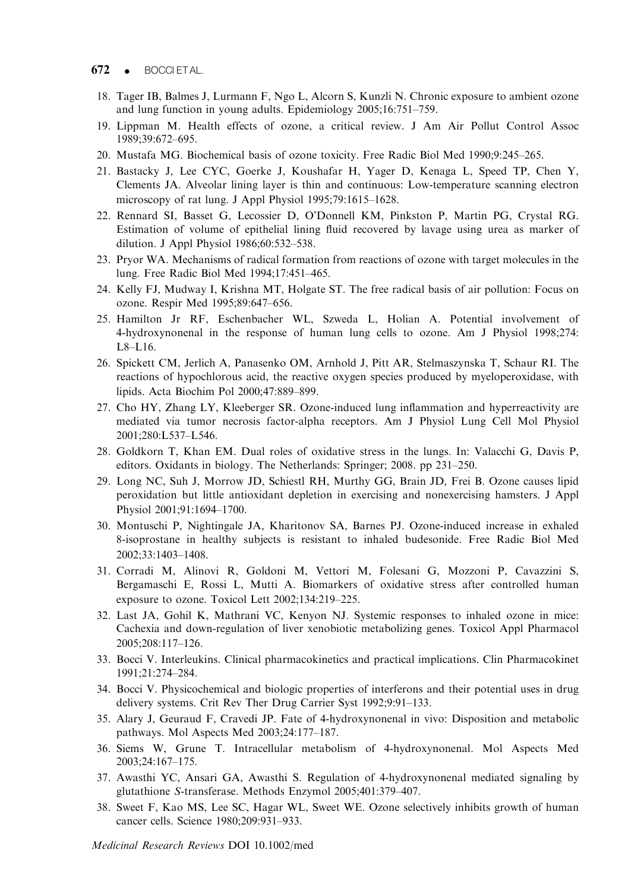- 672 · BOCCI ET AL.
- 18. Tager IB, Balmes J, Lurmann F, Ngo L, Alcorn S, Kunzli N. Chronic exposure to ambient ozone and lung function in young adults. Epidemiology 2005;16:751–759.
- 19. Lippman M. Health effects of ozone, a critical review. J Am Air Pollut Control Assoc 1989;39:672–695.
- 20. Mustafa MG. Biochemical basis of ozone toxicity. Free Radic Biol Med 1990;9:245–265.
- 21. Bastacky J, Lee CYC, Goerke J, Koushafar H, Yager D, Kenaga L, Speed TP, Chen Y, Clements JA. Alveolar lining layer is thin and continuous: Low-temperature scanning electron microscopy of rat lung. J Appl Physiol 1995;79:1615–1628.
- 22. Rennard SI, Basset G, Lecossier D, O'Donnell KM, Pinkston P, Martin PG, Crystal RG. Estimation of volume of epithelial lining fluid recovered by lavage using urea as marker of dilution. J Appl Physiol 1986;60:532–538.
- 23. Pryor WA. Mechanisms of radical formation from reactions of ozone with target molecules in the lung. Free Radic Biol Med 1994;17:451–465.
- 24. Kelly FJ, Mudway I, Krishna MT, Holgate ST. The free radical basis of air pollution: Focus on ozone. Respir Med 1995;89:647–656.
- 25. Hamilton Jr RF, Eschenbacher WL, Szweda L, Holian A. Potential involvement of 4-hydroxynonenal in the response of human lung cells to ozone. Am J Physiol 1998;274: L8–L16.
- 26. Spickett CM, Jerlich A, Panasenko OM, Arnhold J, Pitt AR, Stelmaszynska T, Schaur RI. The reactions of hypochlorous acid, the reactive oxygen species produced by myeloperoxidase, with lipids. Acta Biochim Pol 2000;47:889–899.
- 27. Cho HY, Zhang LY, Kleeberger SR. Ozone-induced lung inflammation and hyperreactivity are mediated via tumor necrosis factor-alpha receptors. Am J Physiol Lung Cell Mol Physiol 2001;280:L537–L546.
- 28. Goldkorn T, Khan EM. Dual roles of oxidative stress in the lungs. In: Valacchi G, Davis P, editors. Oxidants in biology. The Netherlands: Springer; 2008. pp 231–250.
- 29. Long NC, Suh J, Morrow JD, Schiestl RH, Murthy GG, Brain JD, Frei B. Ozone causes lipid peroxidation but little antioxidant depletion in exercising and nonexercising hamsters. J Appl Physiol 2001;91:1694–1700.
- 30. Montuschi P, Nightingale JA, Kharitonov SA, Barnes PJ. Ozone-induced increase in exhaled 8-isoprostane in healthy subjects is resistant to inhaled budesonide. Free Radic Biol Med 2002;33:1403–1408.
- 31. Corradi M, Alinovi R, Goldoni M, Vettori M, Folesani G, Mozzoni P, Cavazzini S, Bergamaschi E, Rossi L, Mutti A. Biomarkers of oxidative stress after controlled human exposure to ozone. Toxicol Lett 2002;134:219–225.
- 32. Last JA, Gohil K, Mathrani VC, Kenyon NJ. Systemic responses to inhaled ozone in mice: Cachexia and down-regulation of liver xenobiotic metabolizing genes. Toxicol Appl Pharmacol 2005;208:117–126.
- 33. Bocci V. Interleukins. Clinical pharmacokinetics and practical implications. Clin Pharmacokinet 1991;21:274–284.
- 34. Bocci V. Physicochemical and biologic properties of interferons and their potential uses in drug delivery systems. Crit Rev Ther Drug Carrier Syst 1992;9:91–133.
- 35. Alary J, Geuraud F, Cravedi JP. Fate of 4-hydroxynonenal in vivo: Disposition and metabolic pathways. Mol Aspects Med 2003;24:177–187.
- 36. Siems W, Grune T. Intracellular metabolism of 4-hydroxynonenal. Mol Aspects Med 2003;24:167–175.
- 37. Awasthi YC, Ansari GA, Awasthi S. Regulation of 4-hydroxynonenal mediated signaling by glutathione S-transferase. Methods Enzymol 2005;401:379–407.
- 38. Sweet F, Kao MS, Lee SC, Hagar WL, Sweet WE. Ozone selectively inhibits growth of human cancer cells. Science 1980;209:931–933.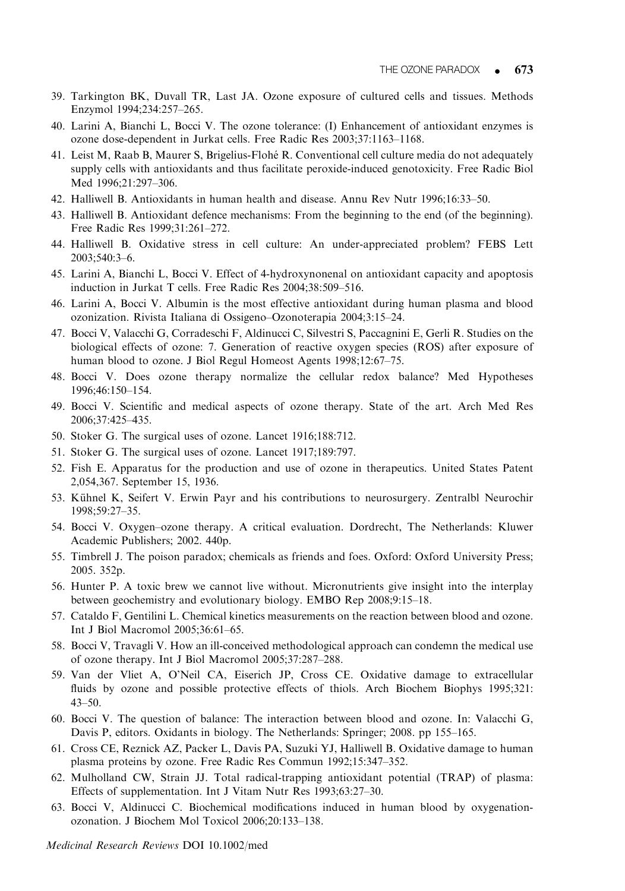- 39. Tarkington BK, Duvall TR, Last JA. Ozone exposure of cultured cells and tissues. Methods Enzymol 1994;234:257–265.
- 40. Larini A, Bianchi L, Bocci V. The ozone tolerance: (I) Enhancement of antioxidant enzymes is ozone dose-dependent in Jurkat cells. Free Radic Res 2003;37:1163–1168.
- 41. Leist M, Raab B, Maurer S, Brigelius-Flohe´ R. Conventional cell culture media do not adequately supply cells with antioxidants and thus facilitate peroxide-induced genotoxicity. Free Radic Biol Med 1996;21:297–306.
- 42. Halliwell B. Antioxidants in human health and disease. Annu Rev Nutr 1996;16:33–50.
- 43. Halliwell B. Antioxidant defence mechanisms: From the beginning to the end (of the beginning). Free Radic Res 1999;31:261–272.
- 44. Halliwell B. Oxidative stress in cell culture: An under-appreciated problem? FEBS Lett 2003;540:3–6.
- 45. Larini A, Bianchi L, Bocci V. Effect of 4-hydroxynonenal on antioxidant capacity and apoptosis induction in Jurkat T cells. Free Radic Res 2004;38:509–516.
- 46. Larini A, Bocci V. Albumin is the most effective antioxidant during human plasma and blood ozonization. Rivista Italiana di Ossigeno–Ozonoterapia 2004;3:15–24.
- 47. Bocci V, Valacchi G, Corradeschi F, Aldinucci C, Silvestri S, Paccagnini E, Gerli R. Studies on the biological effects of ozone: 7. Generation of reactive oxygen species (ROS) after exposure of human blood to ozone. J Biol Regul Homeost Agents 1998;12:67–75.
- 48. Bocci V. Does ozone therapy normalize the cellular redox balance? Med Hypotheses 1996;46:150–154.
- 49. Bocci V. Scientific and medical aspects of ozone therapy. State of the art. Arch Med Res 2006;37:425–435.
- 50. Stoker G. The surgical uses of ozone. Lancet 1916;188:712.
- 51. Stoker G. The surgical uses of ozone. Lancet 1917;189:797.
- 52. Fish E. Apparatus for the production and use of ozone in therapeutics. United States Patent 2,054,367. September 15, 1936.
- 53. Kühnel K, Seifert V. Erwin Payr and his contributions to neurosurgery. Zentralbl Neurochir 1998;59:27–35.
- 54. Bocci V. Oxygen–ozone therapy. A critical evaluation. Dordrecht, The Netherlands: Kluwer Academic Publishers; 2002. 440p.
- 55. Timbrell J. The poison paradox; chemicals as friends and foes. Oxford: Oxford University Press; 2005. 352p.
- 56. Hunter P. A toxic brew we cannot live without. Micronutrients give insight into the interplay between geochemistry and evolutionary biology. EMBO Rep 2008;9:15–18.
- 57. Cataldo F, Gentilini L. Chemical kinetics measurements on the reaction between blood and ozone. Int J Biol Macromol 2005;36:61–65.
- 58. Bocci V, Travagli V. How an ill-conceived methodological approach can condemn the medical use of ozone therapy. Int J Biol Macromol 2005;37:287–288.
- 59. Van der Vliet A, O'Neil CA, Eiserich JP, Cross CE. Oxidative damage to extracellular fluids by ozone and possible protective effects of thiols. Arch Biochem Biophys 1995;321: 43–50.
- 60. Bocci V. The question of balance: The interaction between blood and ozone. In: Valacchi G, Davis P, editors. Oxidants in biology. The Netherlands: Springer; 2008. pp 155–165.
- 61. Cross CE, Reznick AZ, Packer L, Davis PA, Suzuki YJ, Halliwell B. Oxidative damage to human plasma proteins by ozone. Free Radic Res Commun 1992;15:347–352.
- 62. Mulholland CW, Strain JJ. Total radical-trapping antioxidant potential (TRAP) of plasma: Effects of supplementation. Int J Vitam Nutr Res 1993;63:27–30.
- 63. Bocci V, Aldinucci C. Biochemical modifications induced in human blood by oxygenationozonation. J Biochem Mol Toxicol 2006;20:133–138.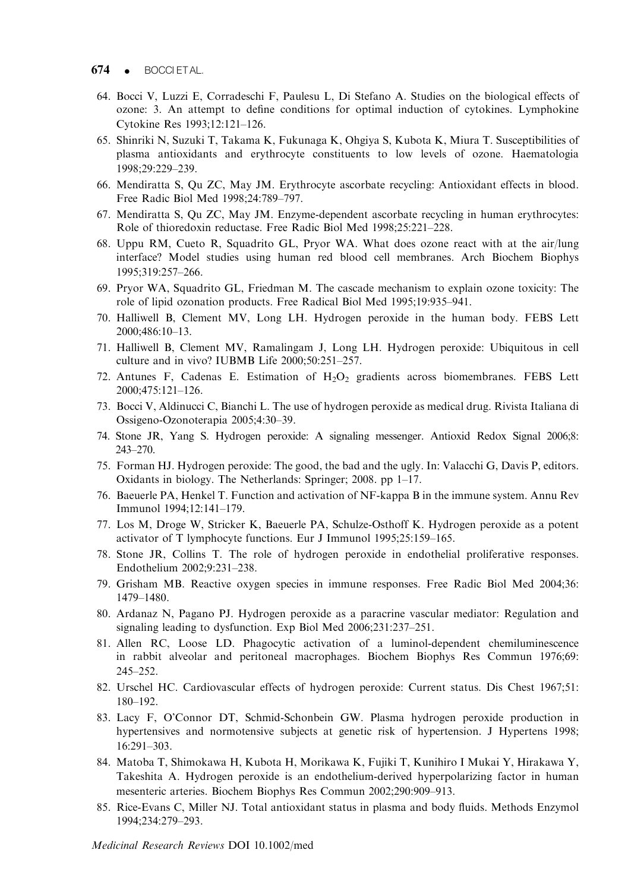- 674 · BOCCI ET AL.
- 64. Bocci V, Luzzi E, Corradeschi F, Paulesu L, Di Stefano A. Studies on the biological effects of ozone: 3. An attempt to define conditions for optimal induction of cytokines. Lymphokine Cytokine Res 1993;12:121–126.
- 65. Shinriki N, Suzuki T, Takama K, Fukunaga K, Ohgiya S, Kubota K, Miura T. Susceptibilities of plasma antioxidants and erythrocyte constituents to low levels of ozone. Haematologia 1998;29:229–239.
- 66. Mendiratta S, Qu ZC, May JM. Erythrocyte ascorbate recycling: Antioxidant effects in blood. Free Radic Biol Med 1998;24:789–797.
- 67. Mendiratta S, Qu ZC, May JM. Enzyme-dependent ascorbate recycling in human erythrocytes: Role of thioredoxin reductase. Free Radic Biol Med 1998;25:221–228.
- 68. Uppu RM, Cueto R, Squadrito GL, Pryor WA. What does ozone react with at the air/lung interface? Model studies using human red blood cell membranes. Arch Biochem Biophys 1995;319:257–266.
- 69. Pryor WA, Squadrito GL, Friedman M. The cascade mechanism to explain ozone toxicity: The role of lipid ozonation products. Free Radical Biol Med 1995;19:935–941.
- 70. Halliwell B, Clement MV, Long LH. Hydrogen peroxide in the human body. FEBS Lett 2000;486:10–13.
- 71. Halliwell B, Clement MV, Ramalingam J, Long LH. Hydrogen peroxide: Ubiquitous in cell culture and in vivo? IUBMB Life 2000;50:251–257.
- 72. Antunes F, Cadenas E. Estimation of  $H_2O_2$  gradients across biomembranes. FEBS Lett 2000;475:121–126.
- 73. Bocci V, Aldinucci C, Bianchi L. The use of hydrogen peroxide as medical drug. Rivista Italiana di Ossigeno-Ozonoterapia 2005;4:30–39.
- 74. Stone JR, Yang S. Hydrogen peroxide: A signaling messenger. Antioxid Redox Signal 2006;8: 243–270.
- 75. Forman HJ. Hydrogen peroxide: The good, the bad and the ugly. In: Valacchi G, Davis P, editors. Oxidants in biology. The Netherlands: Springer; 2008. pp 1–17.
- 76. Baeuerle PA, Henkel T. Function and activation of NF-kappa B in the immune system. Annu Rev Immunol 1994;12:141–179.
- 77. Los M, Droge W, Stricker K, Baeuerle PA, Schulze-Osthoff K. Hydrogen peroxide as a potent activator of T lymphocyte functions. Eur J Immunol 1995;25:159–165.
- 78. Stone JR, Collins T. The role of hydrogen peroxide in endothelial proliferative responses. Endothelium 2002;9:231–238.
- 79. Grisham MB. Reactive oxygen species in immune responses. Free Radic Biol Med 2004;36: 1479–1480.
- 80. Ardanaz N, Pagano PJ. Hydrogen peroxide as a paracrine vascular mediator: Regulation and signaling leading to dysfunction. Exp Biol Med 2006;231:237–251.
- 81. Allen RC, Loose LD. Phagocytic activation of a luminol-dependent chemiluminescence in rabbit alveolar and peritoneal macrophages. Biochem Biophys Res Commun 1976;69: 245–252.
- 82. Urschel HC. Cardiovascular effects of hydrogen peroxide: Current status. Dis Chest 1967;51: 180–192.
- 83. Lacy F, O'Connor DT, Schmid-Schonbein GW. Plasma hydrogen peroxide production in hypertensives and normotensive subjects at genetic risk of hypertension. J Hypertens 1998; 16:291–303.
- 84. Matoba T, Shimokawa H, Kubota H, Morikawa K, Fujiki T, Kunihiro I Mukai Y, Hirakawa Y, Takeshita A. Hydrogen peroxide is an endothelium-derived hyperpolarizing factor in human mesenteric arteries. Biochem Biophys Res Commun 2002;290:909–913.
- 85. Rice-Evans C, Miller NJ. Total antioxidant status in plasma and body fluids. Methods Enzymol 1994;234:279–293.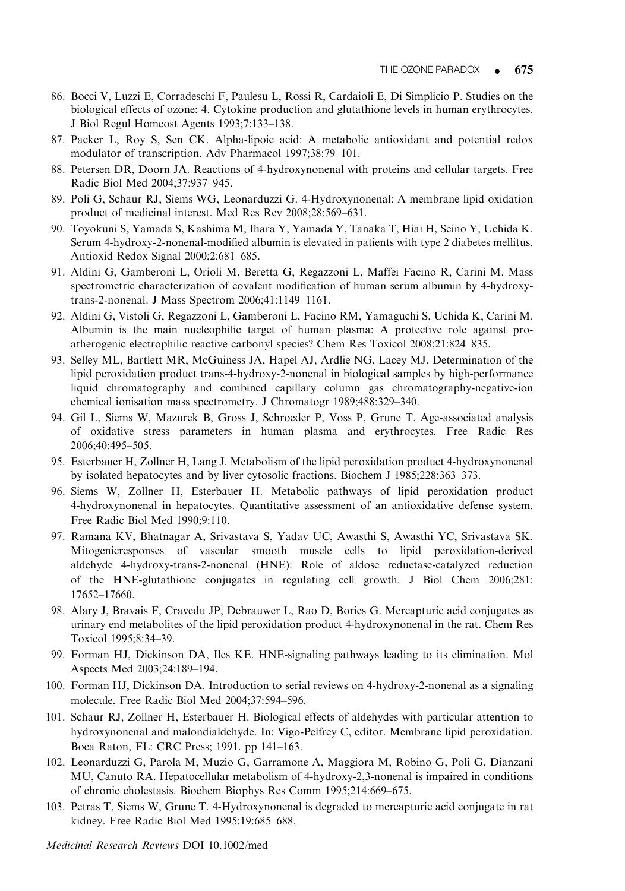- 86. Bocci V, Luzzi E, Corradeschi F, Paulesu L, Rossi R, Cardaioli E, Di Simplicio P. Studies on the biological effects of ozone: 4. Cytokine production and glutathione levels in human erythrocytes. J Biol Regul Homeost Agents 1993;7:133–138.
- 87. Packer L, Roy S, Sen CK. Alpha-lipoic acid: A metabolic antioxidant and potential redox modulator of transcription. Adv Pharmacol 1997;38:79–101.
- 88. Petersen DR, Doorn JA. Reactions of 4-hydroxynonenal with proteins and cellular targets. Free Radic Biol Med 2004;37:937–945.
- 89. Poli G, Schaur RJ, Siems WG, Leonarduzzi G. 4-Hydroxynonenal: A membrane lipid oxidation product of medicinal interest. Med Res Rev 2008;28:569–631.
- 90. Toyokuni S, Yamada S, Kashima M, Ihara Y, Yamada Y, Tanaka T, Hiai H, Seino Y, Uchida K. Serum 4-hydroxy-2-nonenal-modified albumin is elevated in patients with type 2 diabetes mellitus. Antioxid Redox Signal 2000;2:681–685.
- 91. Aldini G, Gamberoni L, Orioli M, Beretta G, Regazzoni L, Maffei Facino R, Carini M. Mass spectrometric characterization of covalent modification of human serum albumin by 4-hydroxytrans-2-nonenal. J Mass Spectrom 2006;41:1149–1161.
- 92. Aldini G, Vistoli G, Regazzoni L, Gamberoni L, Facino RM, Yamaguchi S, Uchida K, Carini M. Albumin is the main nucleophilic target of human plasma: A protective role against proatherogenic electrophilic reactive carbonyl species? Chem Res Toxicol 2008;21:824–835.
- 93. Selley ML, Bartlett MR, McGuiness JA, Hapel AJ, Ardlie NG, Lacey MJ. Determination of the lipid peroxidation product trans-4-hydroxy-2-nonenal in biological samples by high-performance liquid chromatography and combined capillary column gas chromatography-negative-ion chemical ionisation mass spectrometry. J Chromatogr 1989;488:329–340.
- 94. Gil L, Siems W, Mazurek B, Gross J, Schroeder P, Voss P, Grune T. Age-associated analysis of oxidative stress parameters in human plasma and erythrocytes. Free Radic Res 2006;40:495–505.
- 95. Esterbauer H, Zollner H, Lang J. Metabolism of the lipid peroxidation product 4-hydroxynonenal by isolated hepatocytes and by liver cytosolic fractions. Biochem J 1985;228:363–373.
- 96. Siems W, Zollner H, Esterbauer H. Metabolic pathways of lipid peroxidation product 4-hydroxynonenal in hepatocytes. Quantitative assessment of an antioxidative defense system. Free Radic Biol Med 1990;9:110.
- 97. Ramana KV, Bhatnagar A, Srivastava S, Yadav UC, Awasthi S, Awasthi YC, Srivastava SK. Mitogenicresponses of vascular smooth muscle cells to lipid peroxidation-derived aldehyde 4-hydroxy-trans-2-nonenal (HNE): Role of aldose reductase-catalyzed reduction of the HNE-glutathione conjugates in regulating cell growth. J Biol Chem 2006;281: 17652–17660.
- 98. Alary J, Bravais F, Cravedu JP, Debrauwer L, Rao D, Bories G. Mercapturic acid conjugates as urinary end metabolites of the lipid peroxidation product 4-hydroxynonenal in the rat. Chem Res Toxicol 1995;8:34–39.
- 99. Forman HJ, Dickinson DA, Iles KE. HNE-signaling pathways leading to its elimination. Mol Aspects Med 2003;24:189–194.
- 100. Forman HJ, Dickinson DA. Introduction to serial reviews on 4-hydroxy-2-nonenal as a signaling molecule. Free Radic Biol Med 2004;37:594–596.
- 101. Schaur RJ, Zollner H, Esterbauer H. Biological effects of aldehydes with particular attention to hydroxynonenal and malondialdehyde. In: Vigo-Pelfrey C, editor. Membrane lipid peroxidation. Boca Raton, FL: CRC Press; 1991. pp 141–163.
- 102. Leonarduzzi G, Parola M, Muzio G, Garramone A, Maggiora M, Robino G, Poli G, Dianzani MU, Canuto RA. Hepatocellular metabolism of 4-hydroxy-2,3-nonenal is impaired in conditions of chronic cholestasis. Biochem Biophys Res Comm 1995;214:669–675.
- 103. Petras T, Siems W, Grune T. 4-Hydroxynonenal is degraded to mercapturic acid conjugate in rat kidney. Free Radic Biol Med 1995;19:685–688.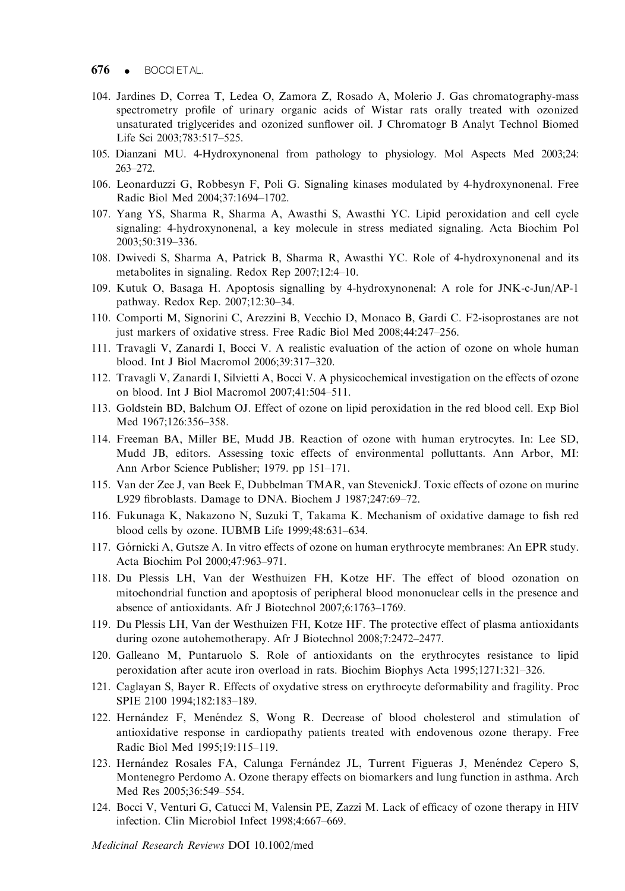- 104. Jardines D, Correa T, Ledea O, Zamora Z, Rosado A, Molerio J. Gas chromatography-mass spectrometry profile of urinary organic acids of Wistar rats orally treated with ozonized unsaturated triglycerides and ozonized sunflower oil. J Chromatogr B Analyt Technol Biomed Life Sci 2003;783:517–525.
- 105. Dianzani MU. 4-Hydroxynonenal from pathology to physiology. Mol Aspects Med 2003;24: 263–272.
- 106. Leonarduzzi G, Robbesyn F, Poli G. Signaling kinases modulated by 4-hydroxynonenal. Free Radic Biol Med 2004;37:1694–1702.
- 107. Yang YS, Sharma R, Sharma A, Awasthi S, Awasthi YC. Lipid peroxidation and cell cycle signaling: 4-hydroxynonenal, a key molecule in stress mediated signaling. Acta Biochim Pol 2003;50:319–336.
- 108. Dwivedi S, Sharma A, Patrick B, Sharma R, Awasthi YC. Role of 4-hydroxynonenal and its metabolites in signaling. Redox Rep 2007;12:4–10.
- 109. Kutuk O, Basaga H. Apoptosis signalling by 4-hydroxynonenal: A role for JNK-c-Jun/AP-1 pathway. Redox Rep. 2007;12:30–34.
- 110. Comporti M, Signorini C, Arezzini B, Vecchio D, Monaco B, Gardi C. F2-isoprostanes are not just markers of oxidative stress. Free Radic Biol Med 2008;44:247–256.
- 111. Travagli V, Zanardi I, Bocci V. A realistic evaluation of the action of ozone on whole human blood. Int J Biol Macromol 2006;39:317–320.
- 112. Travagli V, Zanardi I, Silvietti A, Bocci V. A physicochemical investigation on the effects of ozone on blood. Int J Biol Macromol 2007;41:504–511.
- 113. Goldstein BD, Balchum OJ. Effect of ozone on lipid peroxidation in the red blood cell. Exp Biol Med 1967;126:356–358.
- 114. Freeman BA, Miller BE, Mudd JB. Reaction of ozone with human erytrocytes. In: Lee SD, Mudd JB, editors. Assessing toxic effects of environmental polluttants. Ann Arbor, MI: Ann Arbor Science Publisher; 1979. pp 151–171.
- 115. Van der Zee J, van Beek E, Dubbelman TMAR, van StevenickJ. Toxic effects of ozone on murine L929 fibroblasts. Damage to DNA. Biochem J 1987;247:69–72.
- 116. Fukunaga K, Nakazono N, Suzuki T, Takama K. Mechanism of oxidative damage to fish red blood cells by ozone. IUBMB Life 1999;48:631–634.
- 117. Górnicki A, Gutsze A. In vitro effects of ozone on human erythrocyte membranes: An EPR study. Acta Biochim Pol 2000;47:963–971.
- 118. Du Plessis LH, Van der Westhuizen FH, Kotze HF. The effect of blood ozonation on mitochondrial function and apoptosis of peripheral blood mononuclear cells in the presence and absence of antioxidants. Afr J Biotechnol 2007;6:1763–1769.
- 119. Du Plessis LH, Van der Westhuizen FH, Kotze HF. The protective effect of plasma antioxidants during ozone autohemotherapy. Afr J Biotechnol 2008;7:2472–2477.
- 120. Galleano M, Puntaruolo S. Role of antioxidants on the erythrocytes resistance to lipid peroxidation after acute iron overload in rats. Biochim Biophys Acta 1995;1271:321–326.
- 121. Caglayan S, Bayer R. Effects of oxydative stress on erythrocyte deformability and fragility. Proc SPIE 2100 1994;182:183–189.
- 122. Hernández F, Menéndez S, Wong R. Decrease of blood cholesterol and stimulation of antioxidative response in cardiopathy patients treated with endovenous ozone therapy. Free Radic Biol Med 1995;19:115–119.
- 123. Hernández Rosales FA, Calunga Fernández JL, Turrent Figueras J, Menéndez Cepero S, Montenegro Perdomo A. Ozone therapy effects on biomarkers and lung function in asthma. Arch Med Res 2005;36:549–554.
- 124. Bocci V, Venturi G, Catucci M, Valensin PE, Zazzi M. Lack of efficacy of ozone therapy in HIV infection. Clin Microbiol Infect 1998;4:667–669.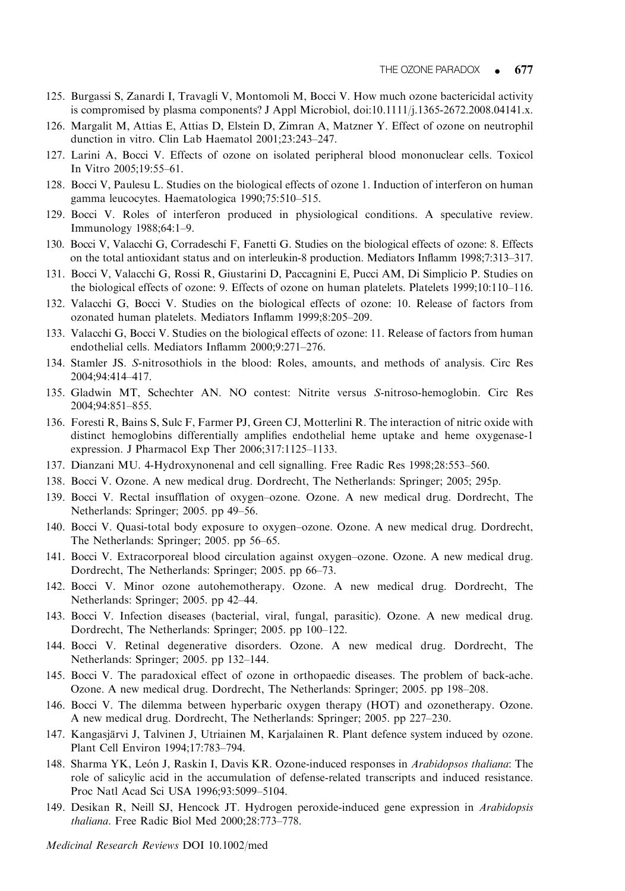- 125. Burgassi S, Zanardi I, Travagli V, Montomoli M, Bocci V. How much ozone bactericidal activity is compromised by plasma components? J Appl Microbiol, doi:10.1111/j.1365-2672.2008.04141.x.
- 126. Margalit M, Attias E, Attias D, Elstein D, Zimran A, Matzner Y. Effect of ozone on neutrophil dunction in vitro. Clin Lab Haematol 2001;23:243–247.
- 127. Larini A, Bocci V. Effects of ozone on isolated peripheral blood mononuclear cells. Toxicol In Vitro 2005;19:55–61.
- 128. Bocci V, Paulesu L. Studies on the biological effects of ozone 1. Induction of interferon on human gamma leucocytes. Haematologica 1990;75:510–515.
- 129. Bocci V. Roles of interferon produced in physiological conditions. A speculative review. Immunology 1988;64:1–9.
- 130. Bocci V, Valacchi G, Corradeschi F, Fanetti G. Studies on the biological effects of ozone: 8. Effects on the total antioxidant status and on interleukin-8 production. Mediators Inflamm 1998;7:313–317.
- 131. Bocci V, Valacchi G, Rossi R, Giustarini D, Paccagnini E, Pucci AM, Di Simplicio P. Studies on the biological effects of ozone: 9. Effects of ozone on human platelets. Platelets 1999;10:110–116.
- 132. Valacchi G, Bocci V. Studies on the biological effects of ozone: 10. Release of factors from ozonated human platelets. Mediators Inflamm 1999;8:205–209.
- 133. Valacchi G, Bocci V. Studies on the biological effects of ozone: 11. Release of factors from human endothelial cells. Mediators Inflamm 2000;9:271–276.
- 134. Stamler JS. S-nitrosothiols in the blood: Roles, amounts, and methods of analysis. Circ Res 2004;94:414–417.
- 135. Gladwin MT, Schechter AN. NO contest: Nitrite versus S-nitroso-hemoglobin. Circ Res 2004;94:851–855.
- 136. Foresti R, Bains S, Sulc F, Farmer PJ, Green CJ, Motterlini R. The interaction of nitric oxide with distinct hemoglobins differentially amplifies endothelial heme uptake and heme oxygenase-1 expression. J Pharmacol Exp Ther 2006;317:1125–1133.
- 137. Dianzani MU. 4-Hydroxynonenal and cell signalling. Free Radic Res 1998;28:553–560.
- 138. Bocci V. Ozone. A new medical drug. Dordrecht, The Netherlands: Springer; 2005; 295p.
- 139. Bocci V. Rectal insufflation of oxygen–ozone. Ozone. A new medical drug. Dordrecht, The Netherlands: Springer; 2005. pp 49–56.
- 140. Bocci V. Quasi-total body exposure to oxygen–ozone. Ozone. A new medical drug. Dordrecht, The Netherlands: Springer; 2005. pp 56–65.
- 141. Bocci V. Extracorporeal blood circulation against oxygen–ozone. Ozone. A new medical drug. Dordrecht, The Netherlands: Springer; 2005. pp 66–73.
- 142. Bocci V. Minor ozone autohemotherapy. Ozone. A new medical drug. Dordrecht, The Netherlands: Springer; 2005. pp 42–44.
- 143. Bocci V. Infection diseases (bacterial, viral, fungal, parasitic). Ozone. A new medical drug. Dordrecht, The Netherlands: Springer; 2005. pp 100–122.
- 144. Bocci V. Retinal degenerative disorders. Ozone. A new medical drug. Dordrecht, The Netherlands: Springer; 2005. pp 132–144.
- 145. Bocci V. The paradoxical effect of ozone in orthopaedic diseases. The problem of back-ache. Ozone. A new medical drug. Dordrecht, The Netherlands: Springer; 2005. pp 198–208.
- 146. Bocci V. The dilemma between hyperbaric oxygen therapy (HOT) and ozonetherapy. Ozone. A new medical drug. Dordrecht, The Netherlands: Springer; 2005. pp 227–230.
- 147. Kangasjärvi J, Talvinen J, Utriainen M, Karjalainen R. Plant defence system induced by ozone. Plant Cell Environ 1994;17:783–794.
- 148. Sharma YK, León J, Raskin I, Davis KR. Ozone-induced responses in Arabidopsos thaliana: The role of salicylic acid in the accumulation of defense-related transcripts and induced resistance. Proc Natl Acad Sci USA 1996;93:5099–5104.
- 149. Desikan R, Neill SJ, Hencock JT. Hydrogen peroxide-induced gene expression in Arabidopsis thaliana. Free Radic Biol Med 2000;28:773–778.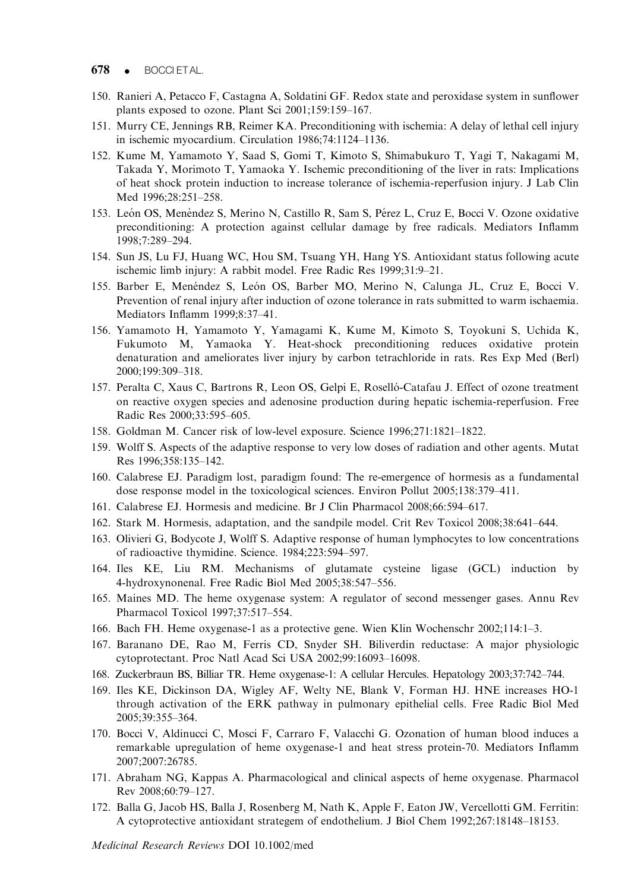- 678 · BOCCI ET AL.
- 150. Ranieri A, Petacco F, Castagna A, Soldatini GF. Redox state and peroxidase system in sunflower plants exposed to ozone. Plant Sci 2001;159:159–167.
- 151. Murry CE, Jennings RB, Reimer KA. Preconditioning with ischemia: A delay of lethal cell injury in ischemic myocardium. Circulation 1986;74:1124–1136.
- 152. Kume M, Yamamoto Y, Saad S, Gomi T, Kimoto S, Shimabukuro T, Yagi T, Nakagami M, Takada Y, Morimoto T, Yamaoka Y. Ischemic preconditioning of the liver in rats: Implications of heat shock protein induction to increase tolerance of ischemia-reperfusion injury. J Lab Clin Med 1996;28:251–258.
- 153. León OS, Menéndez S, Merino N, Castillo R, Sam S, Pérez L, Cruz E, Bocci V. Ozone oxidative preconditioning: A protection against cellular damage by free radicals. Mediators Inflamm 1998;7:289–294.
- 154. Sun JS, Lu FJ, Huang WC, Hou SM, Tsuang YH, Hang YS. Antioxidant status following acute ischemic limb injury: A rabbit model. Free Radic Res 1999;31:9–21.
- 155. Barber E, Menéndez S, León OS, Barber MO, Merino N, Calunga JL, Cruz E, Bocci V. Prevention of renal injury after induction of ozone tolerance in rats submitted to warm ischaemia. Mediators Inflamm 1999;8:37–41.
- 156. Yamamoto H, Yamamoto Y, Yamagami K, Kume M, Kimoto S, Toyokuni S, Uchida K, Fukumoto M, Yamaoka Y. Heat-shock preconditioning reduces oxidative protein denaturation and ameliorates liver injury by carbon tetrachloride in rats. Res Exp Med (Berl) 2000;199:309–318.
- 157. Peralta C, Xaus C, Bartrons R, Leon OS, Gelpi E, Roselló-Catafau J. Effect of ozone treatment on reactive oxygen species and adenosine production during hepatic ischemia-reperfusion. Free Radic Res 2000;33:595–605.
- 158. Goldman M. Cancer risk of low-level exposure. Science 1996;271:1821–1822.
- 159. Wolff S. Aspects of the adaptive response to very low doses of radiation and other agents. Mutat Res 1996;358:135–142.
- 160. Calabrese EJ. Paradigm lost, paradigm found: The re-emergence of hormesis as a fundamental dose response model in the toxicological sciences. Environ Pollut 2005;138:379–411.
- 161. Calabrese EJ. Hormesis and medicine. Br J Clin Pharmacol 2008;66:594–617.
- 162. Stark M. Hormesis, adaptation, and the sandpile model. Crit Rev Toxicol 2008;38:641–644.
- 163. Olivieri G, Bodycote J, Wolff S. Adaptive response of human lymphocytes to low concentrations of radioactive thymidine. Science. 1984;223:594–597.
- 164. Iles KE, Liu RM. Mechanisms of glutamate cysteine ligase (GCL) induction by 4-hydroxynonenal. Free Radic Biol Med 2005;38:547–556.
- 165. Maines MD. The heme oxygenase system: A regulator of second messenger gases. Annu Rev Pharmacol Toxicol 1997;37:517–554.
- 166. Bach FH. Heme oxygenase-1 as a protective gene. Wien Klin Wochenschr 2002;114:1–3.
- 167. Baranano DE, Rao M, Ferris CD, Snyder SH. Biliverdin reductase: A major physiologic cytoprotectant. Proc Natl Acad Sci USA 2002;99:16093–16098.
- 168. Zuckerbraun BS, Billiar TR. Heme oxygenase-1: A cellular Hercules. Hepatology 2003;37:742–744.
- 169. Iles KE, Dickinson DA, Wigley AF, Welty NE, Blank V, Forman HJ. HNE increases HO-1 through activation of the ERK pathway in pulmonary epithelial cells. Free Radic Biol Med 2005;39:355–364.
- 170. Bocci V, Aldinucci C, Mosci F, Carraro F, Valacchi G. Ozonation of human blood induces a remarkable upregulation of heme oxygenase-1 and heat stress protein-70. Mediators Inflamm 2007;2007:26785.
- 171. Abraham NG, Kappas A. Pharmacological and clinical aspects of heme oxygenase. Pharmacol Rev 2008;60:79–127.
- 172. Balla G, Jacob HS, Balla J, Rosenberg M, Nath K, Apple F, Eaton JW, Vercellotti GM. Ferritin: A cytoprotective antioxidant strategem of endothelium. J Biol Chem 1992;267:18148–18153.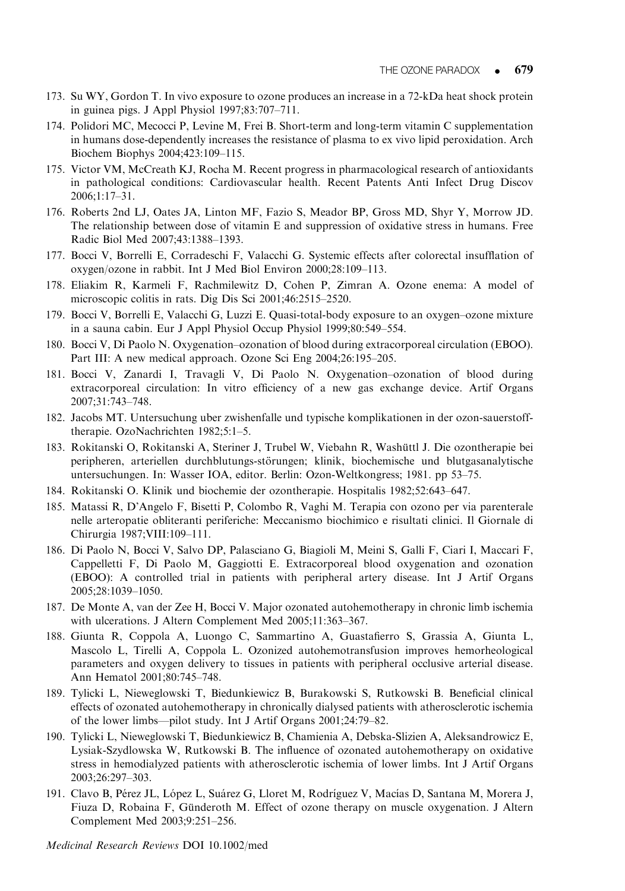- 173. Su WY, Gordon T. In vivo exposure to ozone produces an increase in a 72-kDa heat shock protein in guinea pigs. J Appl Physiol 1997;83:707–711.
- 174. Polidori MC, Mecocci P, Levine M, Frei B. Short-term and long-term vitamin C supplementation in humans dose-dependently increases the resistance of plasma to ex vivo lipid peroxidation. Arch Biochem Biophys 2004;423:109–115.
- 175. Victor VM, McCreath KJ, Rocha M. Recent progress in pharmacological research of antioxidants in pathological conditions: Cardiovascular health. Recent Patents Anti Infect Drug Discov 2006;1:17–31.
- 176. Roberts 2nd LJ, Oates JA, Linton MF, Fazio S, Meador BP, Gross MD, Shyr Y, Morrow JD. The relationship between dose of vitamin E and suppression of oxidative stress in humans. Free Radic Biol Med 2007;43:1388–1393.
- 177. Bocci V, Borrelli E, Corradeschi F, Valacchi G. Systemic effects after colorectal insufflation of oxygen/ozone in rabbit. Int J Med Biol Environ 2000;28:109–113.
- 178. Eliakim R, Karmeli F, Rachmilewitz D, Cohen P, Zimran A. Ozone enema: A model of microscopic colitis in rats. Dig Dis Sci 2001;46:2515–2520.
- 179. Bocci V, Borrelli E, Valacchi G, Luzzi E. Quasi-total-body exposure to an oxygen–ozone mixture in a sauna cabin. Eur J Appl Physiol Occup Physiol 1999;80:549–554.
- 180. Bocci V, Di Paolo N. Oxygenation–ozonation of blood during extracorporeal circulation (EBOO). Part III: A new medical approach. Ozone Sci Eng 2004;26:195–205.
- 181. Bocci V, Zanardi I, Travagli V, Di Paolo N. Oxygenation–ozonation of blood during extracorporeal circulation: In vitro efficiency of a new gas exchange device. Artif Organs 2007;31:743–748.
- 182. Jacobs MT. Untersuchung uber zwishenfalle und typische komplikationen in der ozon-sauerstofftherapie. OzoNachrichten 1982;5:1–5.
- 183. Rokitanski O, Rokitanski A, Steriner J, Trubel W, Viebahn R, Washüttl J. Die ozontherapie bei peripheren, arteriellen durchblutungs-störungen; klinik, biochemische und blutgasanalytische untersuchungen. In: Wasser IOA, editor. Berlin: Ozon-Weltkongress; 1981. pp 53–75.
- 184. Rokitanski O. Klinik und biochemie der ozontherapie. Hospitalis 1982;52:643–647.
- 185. Matassi R, D'Angelo F, Bisetti P, Colombo R, Vaghi M. Terapia con ozono per via parenterale nelle arteropatie obliteranti periferiche: Meccanismo biochimico e risultati clinici. Il Giornale di Chirurgia 1987;VIII:109–111.
- 186. Di Paolo N, Bocci V, Salvo DP, Palasciano G, Biagioli M, Meini S, Galli F, Ciari I, Maccari F, Cappelletti F, Di Paolo M, Gaggiotti E. Extracorporeal blood oxygenation and ozonation (EBOO): A controlled trial in patients with peripheral artery disease. Int J Artif Organs 2005;28:1039–1050.
- 187. De Monte A, van der Zee H, Bocci V. Major ozonated autohemotherapy in chronic limb ischemia with ulcerations. J Altern Complement Med 2005;11:363–367.
- 188. Giunta R, Coppola A, Luongo C, Sammartino A, Guastafierro S, Grassia A, Giunta L, Mascolo L, Tirelli A, Coppola L. Ozonized autohemotransfusion improves hemorheological parameters and oxygen delivery to tissues in patients with peripheral occlusive arterial disease. Ann Hematol 2001;80:745–748.
- 189. Tylicki L, Nieweglowski T, Biedunkiewicz B, Burakowski S, Rutkowski B. Beneficial clinical effects of ozonated autohemotherapy in chronically dialysed patients with atherosclerotic ischemia of the lower limbs—pilot study. Int J Artif Organs 2001;24:79–82.
- 190. Tylicki L, Nieweglowski T, Biedunkiewicz B, Chamienia A, Debska-Slizien A, Aleksandrowicz E, Lysiak-Szydlowska W, Rutkowski B. The influence of ozonated autohemotherapy on oxidative stress in hemodialyzed patients with atherosclerotic ischemia of lower limbs. Int J Artif Organs 2003;26:297–303.
- 191. Clavo B, Pérez JL, López L, Suárez G, Lloret M, Rodríguez V, Macías D, Santana M, Morera J, Fiuza D, Robaina F, Günderoth M. Effect of ozone therapy on muscle oxygenation. J Altern Complement Med 2003;9:251–256.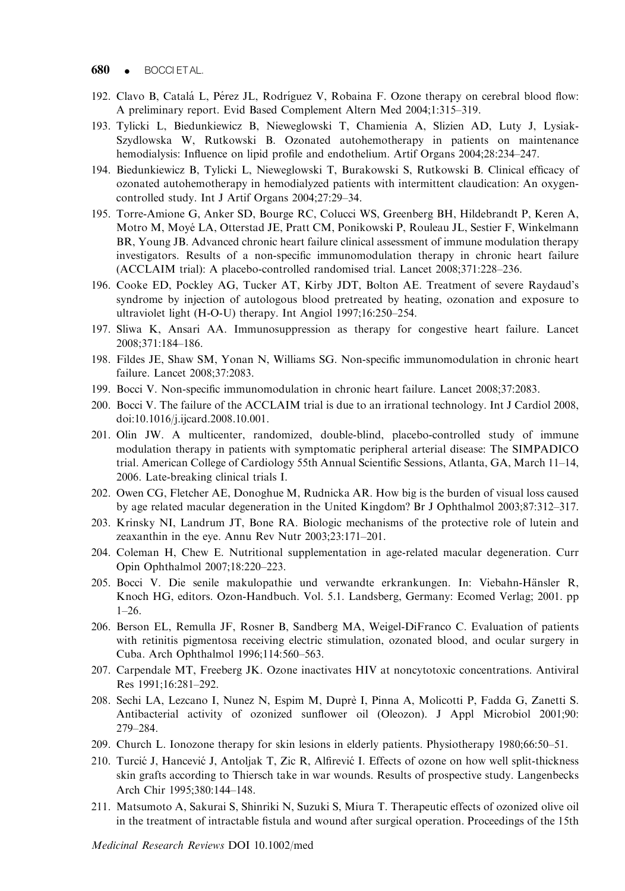- 680 · BOCCI ET AL.
- 192. Clavo B, Catalá L, Pérez JL, Rodríguez V, Robaina F. Ozone therapy on cerebral blood flow: A preliminary report. Evid Based Complement Altern Med 2004;1:315–319.
- 193. Tylicki L, Biedunkiewicz B, Nieweglowski T, Chamienia A, Slizien AD, Luty J, Lysiak-Szydlowska W, Rutkowski B. Ozonated autohemotherapy in patients on maintenance hemodialysis: Influence on lipid profile and endothelium. Artif Organs 2004;28:234–247.
- 194. Biedunkiewicz B, Tylicki L, Nieweglowski T, Burakowski S, Rutkowski B. Clinical efficacy of ozonated autohemotherapy in hemodialyzed patients with intermittent claudication: An oxygencontrolled study. Int J Artif Organs 2004;27:29–34.
- 195. Torre-Amione G, Anker SD, Bourge RC, Colucci WS, Greenberg BH, Hildebrandt P, Keren A, Motro M, Moye´ LA, Otterstad JE, Pratt CM, Ponikowski P, Rouleau JL, Sestier F, Winkelmann BR, Young JB. Advanced chronic heart failure clinical assessment of immune modulation therapy investigators. Results of a non-specific immunomodulation therapy in chronic heart failure (ACCLAIM trial): A placebo-controlled randomised trial. Lancet 2008;371:228–236.
- 196. Cooke ED, Pockley AG, Tucker AT, Kirby JDT, Bolton AE. Treatment of severe Raydaud's syndrome by injection of autologous blood pretreated by heating, ozonation and exposure to ultraviolet light (H-O-U) therapy. Int Angiol 1997;16:250–254.
- 197. Sliwa K, Ansari AA. Immunosuppression as therapy for congestive heart failure. Lancet 2008;371:184–186.
- 198. Fildes JE, Shaw SM, Yonan N, Williams SG. Non-specific immunomodulation in chronic heart failure. Lancet 2008;37:2083.
- 199. Bocci V. Non-specific immunomodulation in chronic heart failure. Lancet 2008;37:2083.
- 200. Bocci V. The failure of the ACCLAIM trial is due to an irrational technology. Int J Cardiol 2008, doi:10.1016/j.ijcard.2008.10.001.
- 201. Olin JW. A multicenter, randomized, double-blind, placebo-controlled study of immune modulation therapy in patients with symptomatic peripheral arterial disease: The SIMPADICO trial. American College of Cardiology 55th Annual Scientific Sessions, Atlanta, GA, March 11–14, 2006. Late-breaking clinical trials I.
- 202. Owen CG, Fletcher AE, Donoghue M, Rudnicka AR. How big is the burden of visual loss caused by age related macular degeneration in the United Kingdom? Br J Ophthalmol 2003;87:312–317.
- 203. Krinsky NI, Landrum JT, Bone RA. Biologic mechanisms of the protective role of lutein and zeaxanthin in the eye. Annu Rev Nutr 2003;23:171–201.
- 204. Coleman H, Chew E. Nutritional supplementation in age-related macular degeneration. Curr Opin Ophthalmol 2007;18:220–223.
- 205. Bocci V. Die senile makulopathie und verwandte erkrankungen. In: Viebahn-Hänsler R, Knoch HG, editors. Ozon-Handbuch. Vol. 5.1. Landsberg, Germany: Ecomed Verlag; 2001. pp 1–26.
- 206. Berson EL, Remulla JF, Rosner B, Sandberg MA, Weigel-DiFranco C. Evaluation of patients with retinitis pigmentosa receiving electric stimulation, ozonated blood, and ocular surgery in Cuba. Arch Ophthalmol 1996;114:560–563.
- 207. Carpendale MT, Freeberg JK. Ozone inactivates HIV at noncytotoxic concentrations. Antiviral Res 1991;16:281–292.
- 208. Sechi LA, Lezcano I, Nunez N, Espim M, Dupre` I, Pinna A, Molicotti P, Fadda G, Zanetti S. Antibacterial activity of ozonized sunflower oil (Oleozon). J Appl Microbiol 2001;90: 279–284.
- 209. Church L. Ionozone therapy for skin lesions in elderly patients. Physiotherapy 1980;66:50–51.
- 210. Turcic´ J, Hancevic´ J, Antoljak T, Zic R, Alfirevic´ I. Effects of ozone on how well split-thickness skin grafts according to Thiersch take in war wounds. Results of prospective study. Langenbecks Arch Chir 1995;380:144–148.
- 211. Matsumoto A, Sakurai S, Shinriki N, Suzuki S, Miura T. Therapeutic effects of ozonized olive oil in the treatment of intractable fistula and wound after surgical operation. Proceedings of the 15th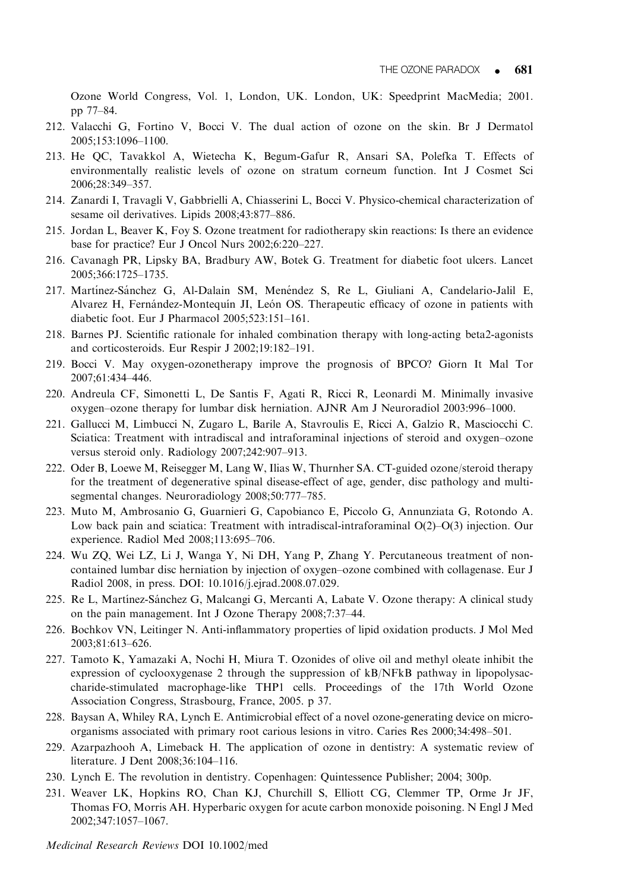Ozone World Congress, Vol. 1, London, UK. London, UK: Speedprint MacMedia; 2001. pp 77–84.

- 212. Valacchi G, Fortino V, Bocci V. The dual action of ozone on the skin. Br J Dermatol 2005;153:1096–1100.
- 213. He QC, Tavakkol A, Wietecha K, Begum-Gafur R, Ansari SA, Polefka T. Effects of environmentally realistic levels of ozone on stratum corneum function. Int J Cosmet Sci 2006;28:349–357.
- 214. Zanardi I, Travagli V, Gabbrielli A, Chiasserini L, Bocci V. Physico-chemical characterization of sesame oil derivatives. Lipids 2008;43:877–886.
- 215. Jordan L, Beaver K, Foy S. Ozone treatment for radiotherapy skin reactions: Is there an evidence base for practice? Eur J Oncol Nurs 2002;6:220–227.
- 216. Cavanagh PR, Lipsky BA, Bradbury AW, Botek G. Treatment for diabetic foot ulcers. Lancet 2005;366:1725–1735.
- 217. Martínez-Sánchez G, Al-Dalain SM, Menéndez S, Re L, Giuliani A, Candelario-Jalil E, Alvarez H, Fernández-Montequín JI, León OS. Therapeutic efficacy of ozone in patients with diabetic foot. Eur J Pharmacol 2005;523:151–161.
- 218. Barnes PJ. Scientific rationale for inhaled combination therapy with long-acting beta2-agonists and corticosteroids. Eur Respir J 2002;19:182–191.
- 219. Bocci V. May oxygen-ozonetherapy improve the prognosis of BPCO? Giorn It Mal Tor 2007;61:434–446.
- 220. Andreula CF, Simonetti L, De Santis F, Agati R, Ricci R, Leonardi M. Minimally invasive oxygen–ozone therapy for lumbar disk herniation. AJNR Am J Neuroradiol 2003:996–1000.
- 221. Gallucci M, Limbucci N, Zugaro L, Barile A, Stavroulis E, Ricci A, Galzio R, Masciocchi C. Sciatica: Treatment with intradiscal and intraforaminal injections of steroid and oxygen–ozone versus steroid only. Radiology 2007;242:907–913.
- 222. Oder B, Loewe M, Reisegger M, Lang W, Ilias W, Thurnher SA. CT-guided ozone/steroid therapy for the treatment of degenerative spinal disease-effect of age, gender, disc pathology and multisegmental changes. Neuroradiology 2008;50:777–785.
- 223. Muto M, Ambrosanio G, Guarnieri G, Capobianco E, Piccolo G, Annunziata G, Rotondo A. Low back pain and sciatica: Treatment with intradiscal-intraforaminal O(2)–O(3) injection. Our experience. Radiol Med 2008;113:695–706.
- 224. Wu ZQ, Wei LZ, Li J, Wanga Y, Ni DH, Yang P, Zhang Y. Percutaneous treatment of noncontained lumbar disc herniation by injection of oxygen–ozone combined with collagenase. Eur J Radiol 2008, in press. DOI: 10.1016/j.ejrad.2008.07.029.
- 225. Re L, Martínez-Sánchez G, Malcangi G, Mercanti A, Labate V. Ozone therapy: A clinical study on the pain management. Int J Ozone Therapy 2008;7:37–44.
- 226. Bochkov VN, Leitinger N. Anti-inflammatory properties of lipid oxidation products. J Mol Med 2003;81:613–626.
- 227. Tamoto K, Yamazaki A, Nochi H, Miura T. Ozonides of olive oil and methyl oleate inhibit the expression of cyclooxygenase 2 through the suppression of kB/NFkB pathway in lipopolysaccharide-stimulated macrophage-like THP1 cells. Proceedings of the 17th World Ozone Association Congress, Strasbourg, France, 2005. p 37.
- 228. Baysan A, Whiley RA, Lynch E. Antimicrobial effect of a novel ozone-generating device on microorganisms associated with primary root carious lesions in vitro. Caries Res 2000;34:498–501.
- 229. Azarpazhooh A, Limeback H. The application of ozone in dentistry: A systematic review of literature. J Dent 2008;36:104–116.
- 230. Lynch E. The revolution in dentistry. Copenhagen: Quintessence Publisher; 2004; 300p.
- 231. Weaver LK, Hopkins RO, Chan KJ, Churchill S, Elliott CG, Clemmer TP, Orme Jr JF, Thomas FO, Morris AH. Hyperbaric oxygen for acute carbon monoxide poisoning. N Engl J Med 2002;347:1057–1067.